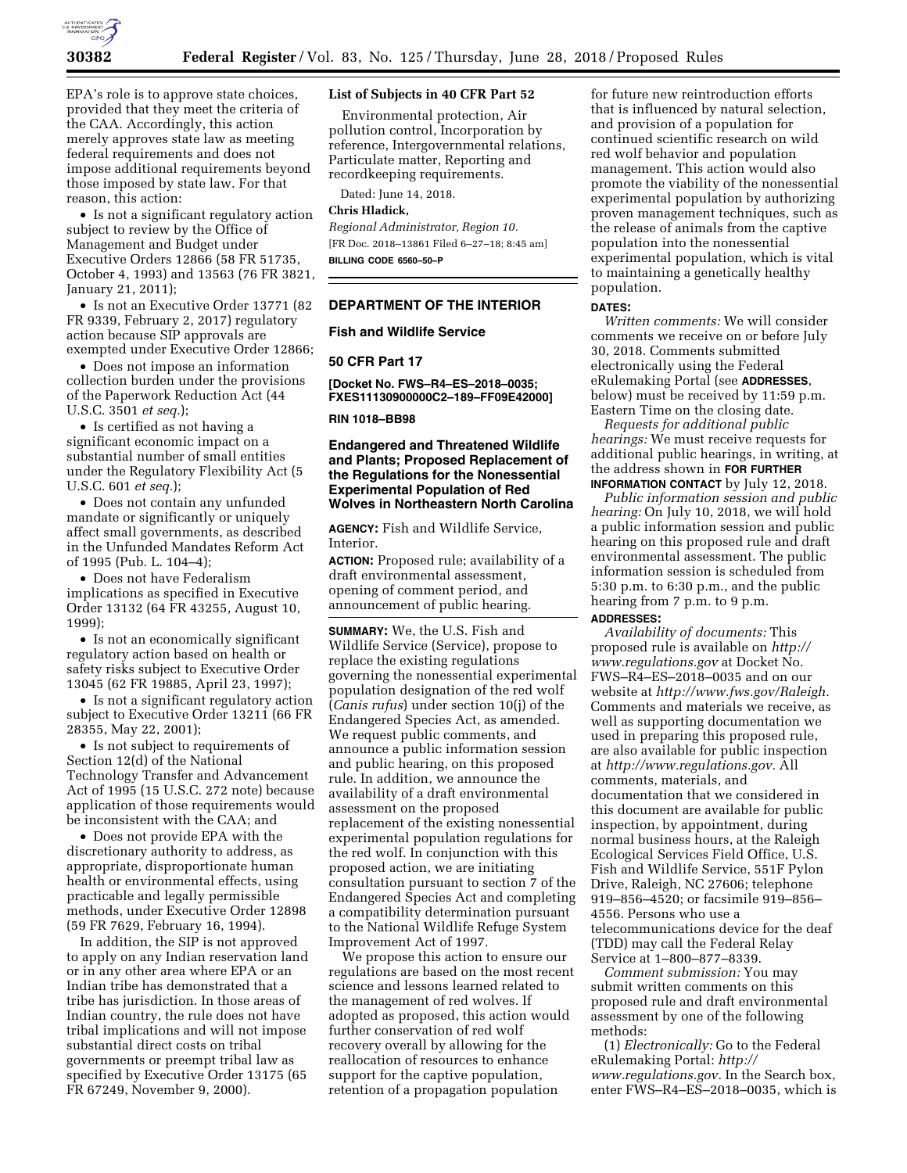

EPA's role is to approve state choices, provided that they meet the criteria of the CAA. Accordingly, this action merely approves state law as meeting federal requirements and does not impose additional requirements beyond those imposed by state law. For that reason, this action:

• Is not a significant regulatory action subject to review by the Office of Management and Budget under Executive Orders 12866 (58 FR 51735, October 4, 1993) and 13563 (76 FR 3821, January 21, 2011);

• Is not an Executive Order 13771 (82 FR 9339, February 2, 2017) regulatory action because SIP approvals are exempted under Executive Order 12866;

• Does not impose an information collection burden under the provisions of the Paperwork Reduction Act (44 U.S.C. 3501 *et seq.*);

• Is certified as not having a significant economic impact on a substantial number of small entities under the Regulatory Flexibility Act (5 U.S.C. 601 *et seq.*);

• Does not contain any unfunded mandate or significantly or uniquely affect small governments, as described in the Unfunded Mandates Reform Act of 1995 (Pub. L. 104–4);

• Does not have Federalism implications as specified in Executive Order 13132 (64 FR 43255, August 10, 1999);

• Is not an economically significant regulatory action based on health or safety risks subject to Executive Order 13045 (62 FR 19885, April 23, 1997);

• Is not a significant regulatory action subject to Executive Order 13211 (66 FR 28355, May 22, 2001);

• Is not subject to requirements of Section 12(d) of the National Technology Transfer and Advancement Act of 1995 (15 U.S.C. 272 note) because application of those requirements would be inconsistent with the CAA; and

• Does not provide EPA with the discretionary authority to address, as appropriate, disproportionate human health or environmental effects, using practicable and legally permissible methods, under Executive Order 12898 (59 FR 7629, February 16, 1994).

In addition, the SIP is not approved to apply on any Indian reservation land or in any other area where EPA or an Indian tribe has demonstrated that a tribe has jurisdiction. In those areas of Indian country, the rule does not have tribal implications and will not impose substantial direct costs on tribal governments or preempt tribal law as specified by Executive Order 13175 (65 FR 67249, November 9, 2000).

### **List of Subjects in 40 CFR Part 52**

Environmental protection, Air pollution control, Incorporation by reference, Intergovernmental relations, Particulate matter, Reporting and recordkeeping requirements.

Dated: June 14, 2018.

# **Chris Hladick,**

*Regional Administrator, Region 10.*  [FR Doc. 2018–13861 Filed 6–27–18; 8:45 am] **BILLING CODE 6560–50–P** 

#### **DEPARTMENT OF THE INTERIOR**

# **Fish and Wildlife Service**

# **50 CFR Part 17**

**[Docket No. FWS–R4–ES–2018–0035; FXES11130900000C2–189–FF09E42000]** 

## **RIN 1018–BB98**

# **Endangered and Threatened Wildlife and Plants; Proposed Replacement of the Regulations for the Nonessential Experimental Population of Red Wolves in Northeastern North Carolina**

**AGENCY:** Fish and Wildlife Service, Interior.

**ACTION:** Proposed rule; availability of a draft environmental assessment, opening of comment period, and announcement of public hearing.

**SUMMARY:** We, the U.S. Fish and Wildlife Service (Service), propose to replace the existing regulations governing the nonessential experimental population designation of the red wolf (*Canis rufus*) under section 10(j) of the Endangered Species Act, as amended. We request public comments, and announce a public information session and public hearing, on this proposed rule. In addition, we announce the availability of a draft environmental assessment on the proposed replacement of the existing nonessential experimental population regulations for the red wolf. In conjunction with this proposed action, we are initiating consultation pursuant to section 7 of the Endangered Species Act and completing a compatibility determination pursuant to the National Wildlife Refuge System Improvement Act of 1997.

We propose this action to ensure our regulations are based on the most recent science and lessons learned related to the management of red wolves. If adopted as proposed, this action would further conservation of red wolf recovery overall by allowing for the reallocation of resources to enhance support for the captive population, retention of a propagation population

for future new reintroduction efforts that is influenced by natural selection, and provision of a population for continued scientific research on wild red wolf behavior and population management. This action would also promote the viability of the nonessential experimental population by authorizing proven management techniques, such as the release of animals from the captive population into the nonessential experimental population, which is vital to maintaining a genetically healthy population.

#### **DATES:**

*Written comments:* We will consider comments we receive on or before July 30, 2018. Comments submitted electronically using the Federal eRulemaking Portal (see **ADDRESSES**, below) must be received by 11:59 p.m. Eastern Time on the closing date.

*Requests for additional public hearings:* We must receive requests for additional public hearings, in writing, at the address shown in **FOR FURTHER INFORMATION CONTACT** by July 12, 2018.

*Public information session and public hearing:* On July 10, 2018, we will hold a public information session and public hearing on this proposed rule and draft environmental assessment. The public information session is scheduled from 5:30 p.m. to 6:30 p.m., and the public hearing from 7 p.m. to 9 p.m.

# **ADDRESSES:**

*Availability of documents:* This proposed rule is available on *[http://](http://www.regulations.gov) [www.regulations.gov](http://www.regulations.gov)* at Docket No. FWS–R4–ES–2018–0035 and on our website at *[http://www.fws.gov/Raleigh.](http://www.fws.gov/Raleigh)*  Comments and materials we receive, as well as supporting documentation we used in preparing this proposed rule, are also available for public inspection at *[http://www.regulations.gov.](http://www.regulations.gov)* All comments, materials, and documentation that we considered in this document are available for public inspection, by appointment, during normal business hours, at the Raleigh Ecological Services Field Office, U.S. Fish and Wildlife Service, 551F Pylon Drive, Raleigh, NC 27606; telephone 919–856–4520; or facsimile 919–856– 4556. Persons who use a telecommunications device for the deaf (TDD) may call the Federal Relay Service at 1–800–877–8339.

*Comment submission:* You may submit written comments on this proposed rule and draft environmental assessment by one of the following methods:

(1) *Electronically:* Go to the Federal eRulemaking Portal: *[http://](http://www.regulations.gov) [www.regulations.gov.](http://www.regulations.gov)* In the Search box, enter FWS–R4–ES–2018–0035, which is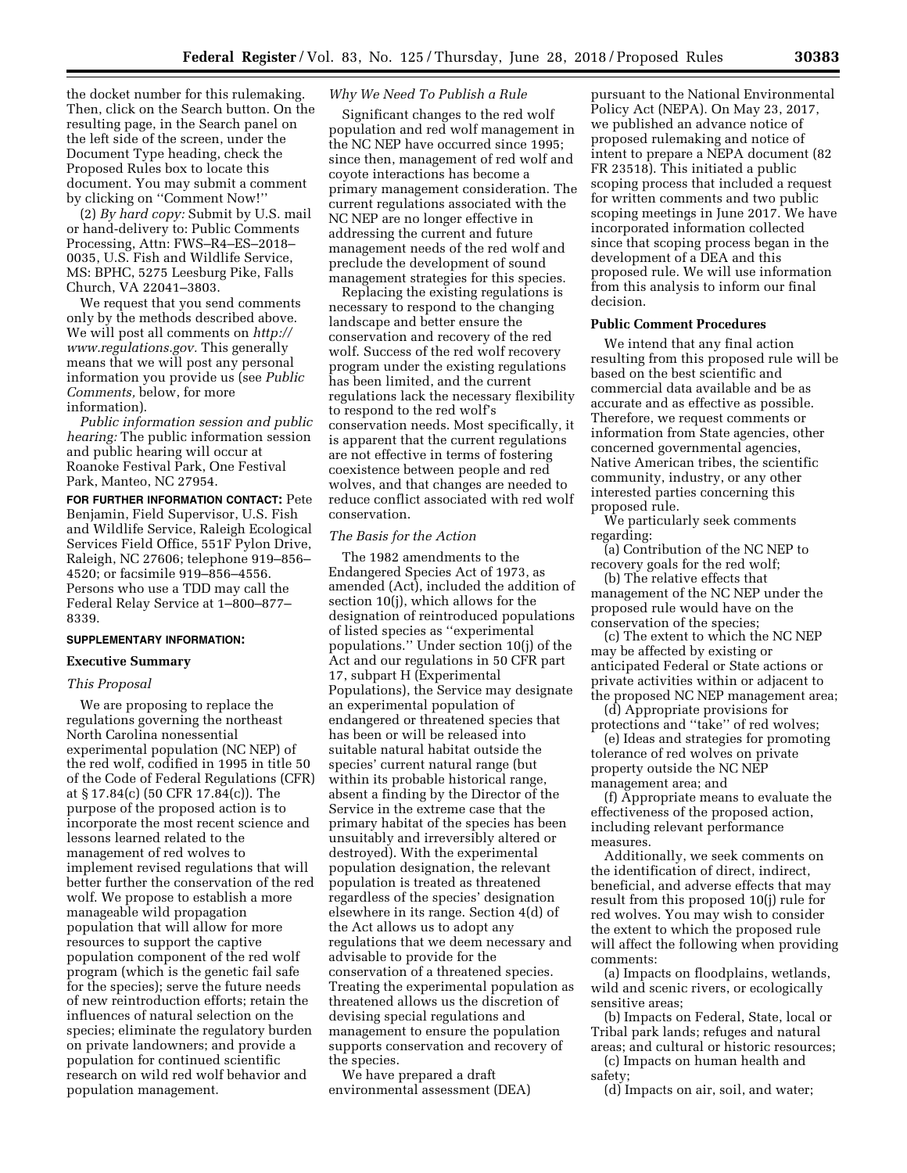the docket number for this rulemaking. Then, click on the Search button. On the resulting page, in the Search panel on the left side of the screen, under the Document Type heading, check the Proposed Rules box to locate this document. You may submit a comment by clicking on ''Comment Now!''

(2) *By hard copy:* Submit by U.S. mail or hand-delivery to: Public Comments Processing, Attn: FWS–R4–ES–2018– 0035, U.S. Fish and Wildlife Service, MS: BPHC, 5275 Leesburg Pike, Falls Church, VA 22041–3803.

We request that you send comments only by the methods described above. We will post all comments on *[http://](http://www.regulations.gov) [www.regulations.gov.](http://www.regulations.gov)* This generally means that we will post any personal information you provide us (see *Public Comments,* below, for more information).

*Public information session and public hearing:* The public information session and public hearing will occur at Roanoke Festival Park, One Festival Park, Manteo, NC 27954.

**FOR FURTHER INFORMATION CONTACT:** Pete Benjamin, Field Supervisor, U.S. Fish and Wildlife Service, Raleigh Ecological Services Field Office, 551F Pylon Drive, Raleigh, NC 27606; telephone 919–856– 4520; or facsimile 919–856–4556. Persons who use a TDD may call the Federal Relay Service at 1–800–877– 8339.

## **SUPPLEMENTARY INFORMATION:**

#### **Executive Summary**

### *This Proposal*

We are proposing to replace the regulations governing the northeast North Carolina nonessential experimental population (NC NEP) of the red wolf, codified in 1995 in title 50 of the Code of Federal Regulations (CFR) at § 17.84(c) (50 CFR 17.84(c)). The purpose of the proposed action is to incorporate the most recent science and lessons learned related to the management of red wolves to implement revised regulations that will better further the conservation of the red wolf. We propose to establish a more manageable wild propagation population that will allow for more resources to support the captive population component of the red wolf program (which is the genetic fail safe for the species); serve the future needs of new reintroduction efforts; retain the influences of natural selection on the species; eliminate the regulatory burden on private landowners; and provide a population for continued scientific research on wild red wolf behavior and population management.

### *Why We Need To Publish a Rule*

Significant changes to the red wolf population and red wolf management in the NC NEP have occurred since 1995; since then, management of red wolf and coyote interactions has become a primary management consideration. The current regulations associated with the NC NEP are no longer effective in addressing the current and future management needs of the red wolf and preclude the development of sound management strategies for this species.

Replacing the existing regulations is necessary to respond to the changing landscape and better ensure the conservation and recovery of the red wolf. Success of the red wolf recovery program under the existing regulations has been limited, and the current regulations lack the necessary flexibility to respond to the red wolf's conservation needs. Most specifically, it is apparent that the current regulations are not effective in terms of fostering coexistence between people and red wolves, and that changes are needed to reduce conflict associated with red wolf conservation.

#### *The Basis for the Action*

The 1982 amendments to the Endangered Species Act of 1973, as amended (Act), included the addition of section 10(j), which allows for the designation of reintroduced populations of listed species as ''experimental populations.'' Under section 10(j) of the Act and our regulations in 50 CFR part 17, subpart H (Experimental Populations), the Service may designate an experimental population of endangered or threatened species that has been or will be released into suitable natural habitat outside the species' current natural range (but within its probable historical range, absent a finding by the Director of the Service in the extreme case that the primary habitat of the species has been unsuitably and irreversibly altered or destroyed). With the experimental population designation, the relevant population is treated as threatened regardless of the species' designation elsewhere in its range. Section 4(d) of the Act allows us to adopt any regulations that we deem necessary and advisable to provide for the conservation of a threatened species. Treating the experimental population as threatened allows us the discretion of devising special regulations and management to ensure the population supports conservation and recovery of the species.

We have prepared a draft environmental assessment (DEA)

pursuant to the National Environmental Policy Act (NEPA). On May 23, 2017, we published an advance notice of proposed rulemaking and notice of intent to prepare a NEPA document (82 FR 23518). This initiated a public scoping process that included a request for written comments and two public scoping meetings in June 2017. We have incorporated information collected since that scoping process began in the development of a DEA and this proposed rule. We will use information from this analysis to inform our final decision.

# **Public Comment Procedures**

We intend that any final action resulting from this proposed rule will be based on the best scientific and commercial data available and be as accurate and as effective as possible. Therefore, we request comments or information from State agencies, other concerned governmental agencies, Native American tribes, the scientific community, industry, or any other interested parties concerning this proposed rule.

We particularly seek comments regarding:

(a) Contribution of the NC NEP to recovery goals for the red wolf;

(b) The relative effects that management of the NC NEP under the proposed rule would have on the conservation of the species;

(c) The extent to which the NC NEP may be affected by existing or anticipated Federal or State actions or private activities within or adjacent to the proposed NC NEP management area;

(d) Appropriate provisions for protections and ''take'' of red wolves;

(e) Ideas and strategies for promoting tolerance of red wolves on private property outside the NC NEP management area; and

(f) Appropriate means to evaluate the effectiveness of the proposed action, including relevant performance measures.

Additionally, we seek comments on the identification of direct, indirect, beneficial, and adverse effects that may result from this proposed 10(j) rule for red wolves. You may wish to consider the extent to which the proposed rule will affect the following when providing comments:

(a) Impacts on floodplains, wetlands, wild and scenic rivers, or ecologically sensitive areas;

(b) Impacts on Federal, State, local or Tribal park lands; refuges and natural areas; and cultural or historic resources;

(c) Impacts on human health and safety;

(d) Impacts on air, soil, and water;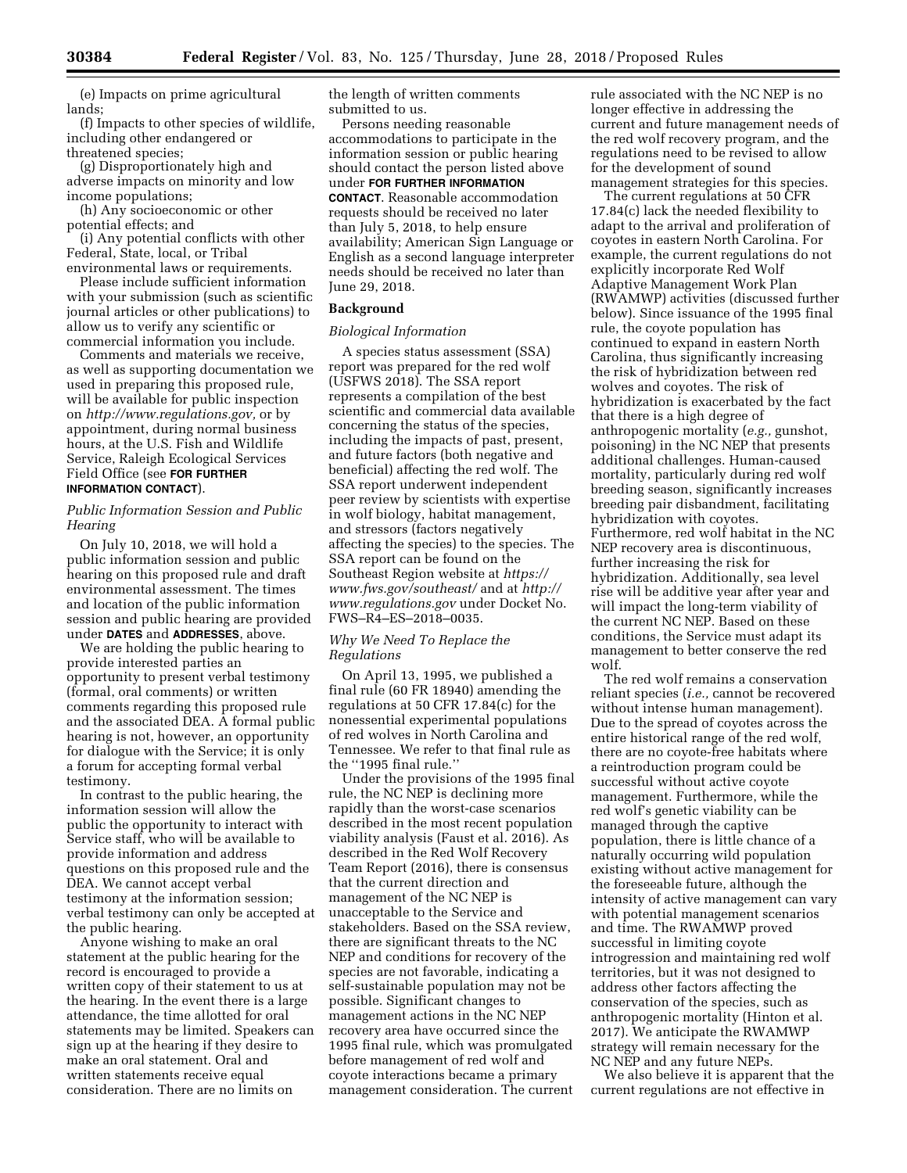(e) Impacts on prime agricultural lands;

(f) Impacts to other species of wildlife, including other endangered or threatened species;

(g) Disproportionately high and adverse impacts on minority and low income populations;

(h) Any socioeconomic or other potential effects; and

(i) Any potential conflicts with other Federal, State, local, or Tribal environmental laws or requirements.

Please include sufficient information with your submission (such as scientific journal articles or other publications) to allow us to verify any scientific or commercial information you include.

Comments and materials we receive, as well as supporting documentation we used in preparing this proposed rule, will be available for public inspection on *[http://www.regulations.gov,](http://www.regulations.gov)* or by appointment, during normal business hours, at the U.S. Fish and Wildlife Service, Raleigh Ecological Services Field Office (see **FOR FURTHER INFORMATION CONTACT**).

# *Public Information Session and Public Hearing*

On July 10, 2018, we will hold a public information session and public hearing on this proposed rule and draft environmental assessment. The times and location of the public information session and public hearing are provided under **DATES** and **ADDRESSES**, above.

We are holding the public hearing to provide interested parties an opportunity to present verbal testimony (formal, oral comments) or written comments regarding this proposed rule and the associated DEA. A formal public hearing is not, however, an opportunity for dialogue with the Service; it is only a forum for accepting formal verbal testimony.

In contrast to the public hearing, the information session will allow the public the opportunity to interact with Service staff, who will be available to provide information and address questions on this proposed rule and the DEA. We cannot accept verbal testimony at the information session; verbal testimony can only be accepted at the public hearing.

Anyone wishing to make an oral statement at the public hearing for the record is encouraged to provide a written copy of their statement to us at the hearing. In the event there is a large attendance, the time allotted for oral statements may be limited. Speakers can sign up at the hearing if they desire to make an oral statement. Oral and written statements receive equal consideration. There are no limits on

the length of written comments submitted to us.

Persons needing reasonable accommodations to participate in the information session or public hearing should contact the person listed above under **FOR FURTHER INFORMATION CONTACT**. Reasonable accommodation requests should be received no later than July 5, 2018, to help ensure availability; American Sign Language or English as a second language interpreter needs should be received no later than June 29, 2018.

# **Background**

### *Biological Information*

A species status assessment (SSA) report was prepared for the red wolf (USFWS 2018). The SSA report represents a compilation of the best scientific and commercial data available concerning the status of the species, including the impacts of past, present, and future factors (both negative and beneficial) affecting the red wolf. The SSA report underwent independent peer review by scientists with expertise in wolf biology, habitat management, and stressors (factors negatively affecting the species) to the species. The SSA report can be found on the Southeast Region website at *[https://](https://www.fws.gov/southeast/) [www.fws.gov/southeast/](https://www.fws.gov/southeast/)* and at *[http://](http://www.regulations.gov) [www.regulations.gov](http://www.regulations.gov)* under Docket No. FWS–R4–ES–2018–0035.

#### *Why We Need To Replace the Regulations*

On April 13, 1995, we published a final rule (60 FR 18940) amending the regulations at 50 CFR 17.84(c) for the nonessential experimental populations of red wolves in North Carolina and Tennessee. We refer to that final rule as the ''1995 final rule.''

Under the provisions of the 1995 final rule, the NC NEP is declining more rapidly than the worst-case scenarios described in the most recent population viability analysis (Faust et al. 2016). As described in the Red Wolf Recovery Team Report (2016), there is consensus that the current direction and management of the NC NEP is unacceptable to the Service and stakeholders. Based on the SSA review, there are significant threats to the NC NEP and conditions for recovery of the species are not favorable, indicating a self-sustainable population may not be possible. Significant changes to management actions in the NC NEP recovery area have occurred since the 1995 final rule, which was promulgated before management of red wolf and coyote interactions became a primary management consideration. The current

rule associated with the NC NEP is no longer effective in addressing the current and future management needs of the red wolf recovery program, and the regulations need to be revised to allow for the development of sound management strategies for this species.

The current regulations at 50 CFR 17.84(c) lack the needed flexibility to adapt to the arrival and proliferation of coyotes in eastern North Carolina. For example, the current regulations do not explicitly incorporate Red Wolf Adaptive Management Work Plan (RWAMWP) activities (discussed further below). Since issuance of the 1995 final rule, the coyote population has continued to expand in eastern North Carolina, thus significantly increasing the risk of hybridization between red wolves and coyotes. The risk of hybridization is exacerbated by the fact that there is a high degree of anthropogenic mortality (*e.g.,* gunshot, poisoning) in the NC NEP that presents additional challenges. Human-caused mortality, particularly during red wolf breeding season, significantly increases breeding pair disbandment, facilitating hybridization with coyotes. Furthermore, red wolf habitat in the NC NEP recovery area is discontinuous, further increasing the risk for hybridization. Additionally, sea level rise will be additive year after year and will impact the long-term viability of the current NC NEP. Based on these conditions, the Service must adapt its management to better conserve the red wolf.

The red wolf remains a conservation reliant species (*i.e.,* cannot be recovered without intense human management). Due to the spread of coyotes across the entire historical range of the red wolf, there are no coyote-free habitats where a reintroduction program could be successful without active coyote management. Furthermore, while the red wolf's genetic viability can be managed through the captive population, there is little chance of a naturally occurring wild population existing without active management for the foreseeable future, although the intensity of active management can vary with potential management scenarios and time. The RWAMWP proved successful in limiting coyote introgression and maintaining red wolf territories, but it was not designed to address other factors affecting the conservation of the species, such as anthropogenic mortality (Hinton et al. 2017). We anticipate the RWAMWP strategy will remain necessary for the NC NEP and any future NEPs.

We also believe it is apparent that the current regulations are not effective in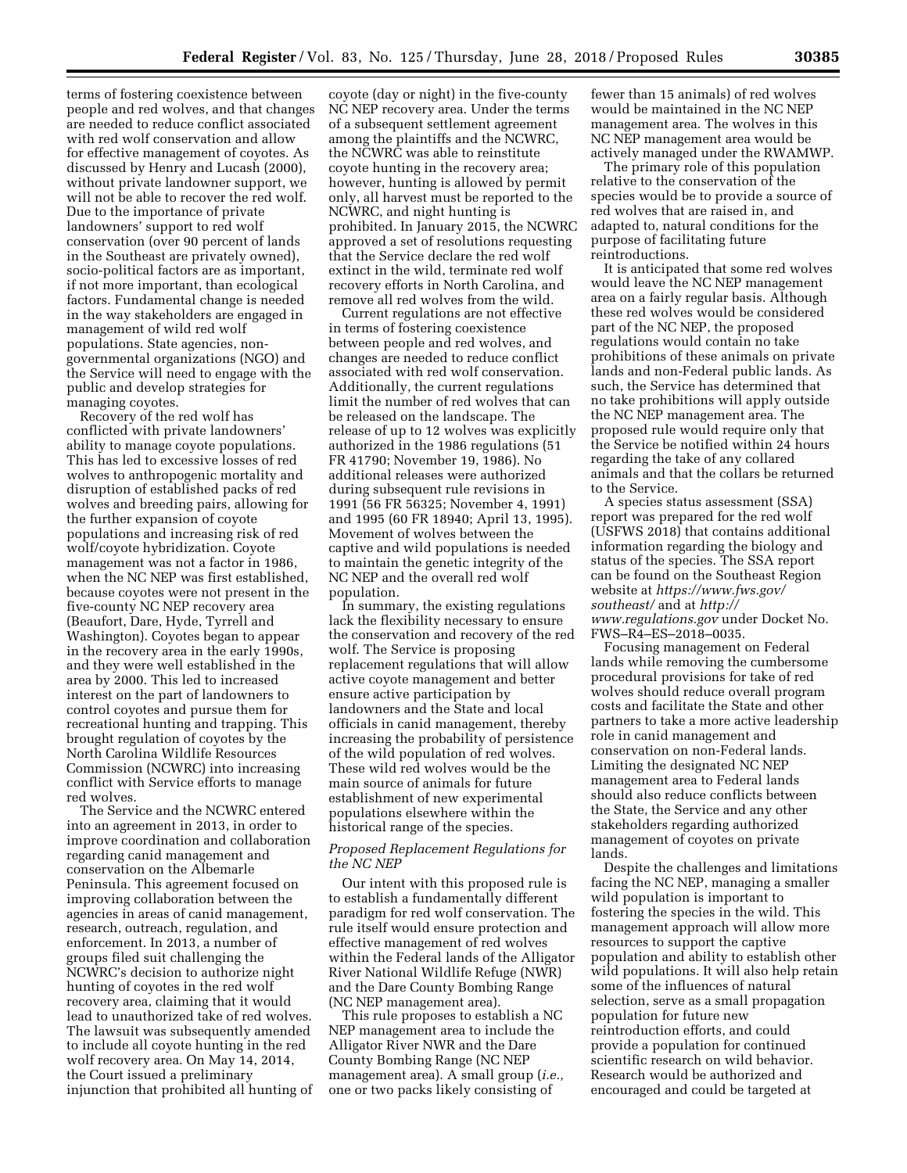terms of fostering coexistence between people and red wolves, and that changes are needed to reduce conflict associated with red wolf conservation and allow for effective management of coyotes. As discussed by Henry and Lucash (2000), without private landowner support, we will not be able to recover the red wolf. Due to the importance of private landowners' support to red wolf conservation (over 90 percent of lands in the Southeast are privately owned), socio-political factors are as important, if not more important, than ecological factors. Fundamental change is needed in the way stakeholders are engaged in management of wild red wolf populations. State agencies, nongovernmental organizations (NGO) and the Service will need to engage with the public and develop strategies for managing coyotes.

Recovery of the red wolf has conflicted with private landowners' ability to manage coyote populations. This has led to excessive losses of red wolves to anthropogenic mortality and disruption of established packs of red wolves and breeding pairs, allowing for the further expansion of coyote populations and increasing risk of red wolf/coyote hybridization. Coyote management was not a factor in 1986, when the NC NEP was first established, because coyotes were not present in the five-county NC NEP recovery area (Beaufort, Dare, Hyde, Tyrrell and Washington). Coyotes began to appear in the recovery area in the early 1990s, and they were well established in the area by 2000. This led to increased interest on the part of landowners to control coyotes and pursue them for recreational hunting and trapping. This brought regulation of coyotes by the North Carolina Wildlife Resources Commission (NCWRC) into increasing conflict with Service efforts to manage red wolves.

The Service and the NCWRC entered into an agreement in 2013, in order to improve coordination and collaboration regarding canid management and conservation on the Albemarle Peninsula. This agreement focused on improving collaboration between the agencies in areas of canid management, research, outreach, regulation, and enforcement. In 2013, a number of groups filed suit challenging the NCWRC's decision to authorize night hunting of coyotes in the red wolf recovery area, claiming that it would lead to unauthorized take of red wolves. The lawsuit was subsequently amended to include all coyote hunting in the red wolf recovery area. On May 14, 2014, the Court issued a preliminary injunction that prohibited all hunting of

coyote (day or night) in the five-county NC NEP recovery area. Under the terms of a subsequent settlement agreement among the plaintiffs and the NCWRC, the NCWRC was able to reinstitute coyote hunting in the recovery area; however, hunting is allowed by permit only, all harvest must be reported to the NCWRC, and night hunting is prohibited. In January 2015, the NCWRC approved a set of resolutions requesting that the Service declare the red wolf extinct in the wild, terminate red wolf recovery efforts in North Carolina, and remove all red wolves from the wild.

Current regulations are not effective in terms of fostering coexistence between people and red wolves, and changes are needed to reduce conflict associated with red wolf conservation. Additionally, the current regulations limit the number of red wolves that can be released on the landscape. The release of up to 12 wolves was explicitly authorized in the 1986 regulations (51 FR 41790; November 19, 1986). No additional releases were authorized during subsequent rule revisions in 1991 (56 FR 56325; November 4, 1991) and 1995 (60 FR 18940; April 13, 1995). Movement of wolves between the captive and wild populations is needed to maintain the genetic integrity of the NC NEP and the overall red wolf population.

In summary, the existing regulations lack the flexibility necessary to ensure the conservation and recovery of the red wolf. The Service is proposing replacement regulations that will allow active coyote management and better ensure active participation by landowners and the State and local officials in canid management, thereby increasing the probability of persistence of the wild population of red wolves. These wild red wolves would be the main source of animals for future establishment of new experimental populations elsewhere within the historical range of the species.

# *Proposed Replacement Regulations for the NC NEP*

Our intent with this proposed rule is to establish a fundamentally different paradigm for red wolf conservation. The rule itself would ensure protection and effective management of red wolves within the Federal lands of the Alligator River National Wildlife Refuge (NWR) and the Dare County Bombing Range (NC NEP management area).

This rule proposes to establish a NC NEP management area to include the Alligator River NWR and the Dare County Bombing Range (NC NEP management area). A small group (*i.e.,*  one or two packs likely consisting of

fewer than 15 animals) of red wolves would be maintained in the NC NEP management area. The wolves in this NC NEP management area would be actively managed under the RWAMWP.

The primary role of this population relative to the conservation of the species would be to provide a source of red wolves that are raised in, and adapted to, natural conditions for the purpose of facilitating future reintroductions.

It is anticipated that some red wolves would leave the NC NEP management area on a fairly regular basis. Although these red wolves would be considered part of the NC NEP, the proposed regulations would contain no take prohibitions of these animals on private lands and non-Federal public lands. As such, the Service has determined that no take prohibitions will apply outside the NC NEP management area. The proposed rule would require only that the Service be notified within 24 hours regarding the take of any collared animals and that the collars be returned to the Service.

A species status assessment (SSA) report was prepared for the red wolf (USFWS 2018) that contains additional information regarding the biology and status of the species. The SSA report can be found on the Southeast Region website at *[https://www.fws.gov/](https://www.fws.gov/southeast/) [southeast/](https://www.fws.gov/southeast/)* and at *[http://](http://www.regulations.gov) [www.regulations.gov](http://www.regulations.gov)* under Docket No. FWS–R4–ES–2018–0035.

Focusing management on Federal lands while removing the cumbersome procedural provisions for take of red wolves should reduce overall program costs and facilitate the State and other partners to take a more active leadership role in canid management and conservation on non-Federal lands. Limiting the designated NC NEP management area to Federal lands should also reduce conflicts between the State, the Service and any other stakeholders regarding authorized management of coyotes on private lands.

Despite the challenges and limitations facing the NC NEP, managing a smaller wild population is important to fostering the species in the wild. This management approach will allow more resources to support the captive population and ability to establish other wild populations. It will also help retain some of the influences of natural selection, serve as a small propagation population for future new reintroduction efforts, and could provide a population for continued scientific research on wild behavior. Research would be authorized and encouraged and could be targeted at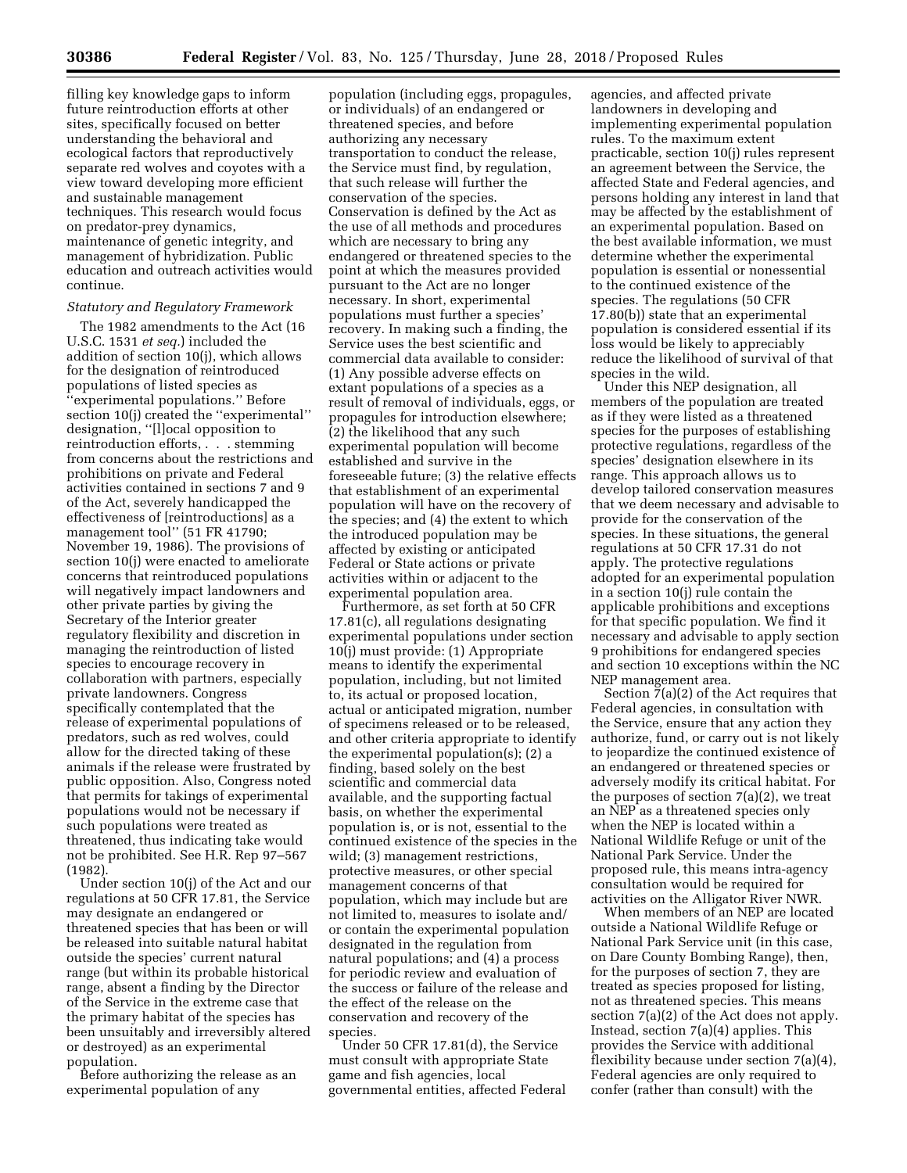filling key knowledge gaps to inform future reintroduction efforts at other sites, specifically focused on better understanding the behavioral and ecological factors that reproductively separate red wolves and coyotes with a view toward developing more efficient and sustainable management techniques. This research would focus on predator-prey dynamics, maintenance of genetic integrity, and management of hybridization. Public education and outreach activities would continue.

### *Statutory and Regulatory Framework*

The 1982 amendments to the Act (16 U.S.C. 1531 *et seq.*) included the addition of section 10(j), which allows for the designation of reintroduced populations of listed species as 'experimental populations." Before section 10(j) created the ''experimental'' designation, "[l]ocal opposition to reintroduction efforts, . . . stemming from concerns about the restrictions and prohibitions on private and Federal activities contained in sections 7 and 9 of the Act, severely handicapped the effectiveness of [reintroductions] as a management tool'' (51 FR 41790; November 19, 1986). The provisions of section 10(j) were enacted to ameliorate concerns that reintroduced populations will negatively impact landowners and other private parties by giving the Secretary of the Interior greater regulatory flexibility and discretion in managing the reintroduction of listed species to encourage recovery in collaboration with partners, especially private landowners. Congress specifically contemplated that the release of experimental populations of predators, such as red wolves, could allow for the directed taking of these animals if the release were frustrated by public opposition. Also, Congress noted that permits for takings of experimental populations would not be necessary if such populations were treated as threatened, thus indicating take would not be prohibited. See H.R. Rep 97–567 (1982).

Under section 10(j) of the Act and our regulations at 50 CFR 17.81, the Service may designate an endangered or threatened species that has been or will be released into suitable natural habitat outside the species' current natural range (but within its probable historical range, absent a finding by the Director of the Service in the extreme case that the primary habitat of the species has been unsuitably and irreversibly altered or destroyed) as an experimental population.

Before authorizing the release as an experimental population of any

population (including eggs, propagules, or individuals) of an endangered or threatened species, and before authorizing any necessary transportation to conduct the release, the Service must find, by regulation, that such release will further the conservation of the species. Conservation is defined by the Act as the use of all methods and procedures which are necessary to bring any endangered or threatened species to the point at which the measures provided pursuant to the Act are no longer necessary. In short, experimental populations must further a species' recovery. In making such a finding, the Service uses the best scientific and commercial data available to consider: (1) Any possible adverse effects on extant populations of a species as a result of removal of individuals, eggs, or propagules for introduction elsewhere; (2) the likelihood that any such experimental population will become established and survive in the foreseeable future; (3) the relative effects that establishment of an experimental population will have on the recovery of the species; and (4) the extent to which the introduced population may be affected by existing or anticipated Federal or State actions or private activities within or adjacent to the experimental population area.

Furthermore, as set forth at 50 CFR 17.81(c), all regulations designating experimental populations under section 10(j) must provide: (1) Appropriate means to identify the experimental population, including, but not limited to, its actual or proposed location, actual or anticipated migration, number of specimens released or to be released, and other criteria appropriate to identify the experimental population(s); (2) a finding, based solely on the best scientific and commercial data available, and the supporting factual basis, on whether the experimental population is, or is not, essential to the continued existence of the species in the wild; (3) management restrictions, protective measures, or other special management concerns of that population, which may include but are not limited to, measures to isolate and/ or contain the experimental population designated in the regulation from natural populations; and (4) a process for periodic review and evaluation of the success or failure of the release and the effect of the release on the conservation and recovery of the species.

Under 50 CFR 17.81(d), the Service must consult with appropriate State game and fish agencies, local governmental entities, affected Federal agencies, and affected private landowners in developing and implementing experimental population rules. To the maximum extent practicable, section 10(j) rules represent an agreement between the Service, the affected State and Federal agencies, and persons holding any interest in land that may be affected by the establishment of an experimental population. Based on the best available information, we must determine whether the experimental population is essential or nonessential to the continued existence of the species. The regulations (50 CFR 17.80(b)) state that an experimental population is considered essential if its loss would be likely to appreciably reduce the likelihood of survival of that species in the wild.

Under this NEP designation, all members of the population are treated as if they were listed as a threatened species for the purposes of establishing protective regulations, regardless of the species' designation elsewhere in its range. This approach allows us to develop tailored conservation measures that we deem necessary and advisable to provide for the conservation of the species. In these situations, the general regulations at 50 CFR 17.31 do not apply. The protective regulations adopted for an experimental population in a section 10(j) rule contain the applicable prohibitions and exceptions for that specific population. We find it necessary and advisable to apply section 9 prohibitions for endangered species and section 10 exceptions within the NC NEP management area.

Section 7(a)(2) of the Act requires that Federal agencies, in consultation with the Service, ensure that any action they authorize, fund, or carry out is not likely to jeopardize the continued existence of an endangered or threatened species or adversely modify its critical habitat. For the purposes of section  $7(a)(2)$ , we treat an NEP as a threatened species only when the NEP is located within a National Wildlife Refuge or unit of the National Park Service. Under the proposed rule, this means intra-agency consultation would be required for activities on the Alligator River NWR.

When members of an NEP are located outside a National Wildlife Refuge or National Park Service unit (in this case, on Dare County Bombing Range), then, for the purposes of section 7, they are treated as species proposed for listing, not as threatened species. This means section 7(a)(2) of the Act does not apply. Instead, section 7(a)(4) applies. This provides the Service with additional flexibility because under section 7(a)(4), Federal agencies are only required to confer (rather than consult) with the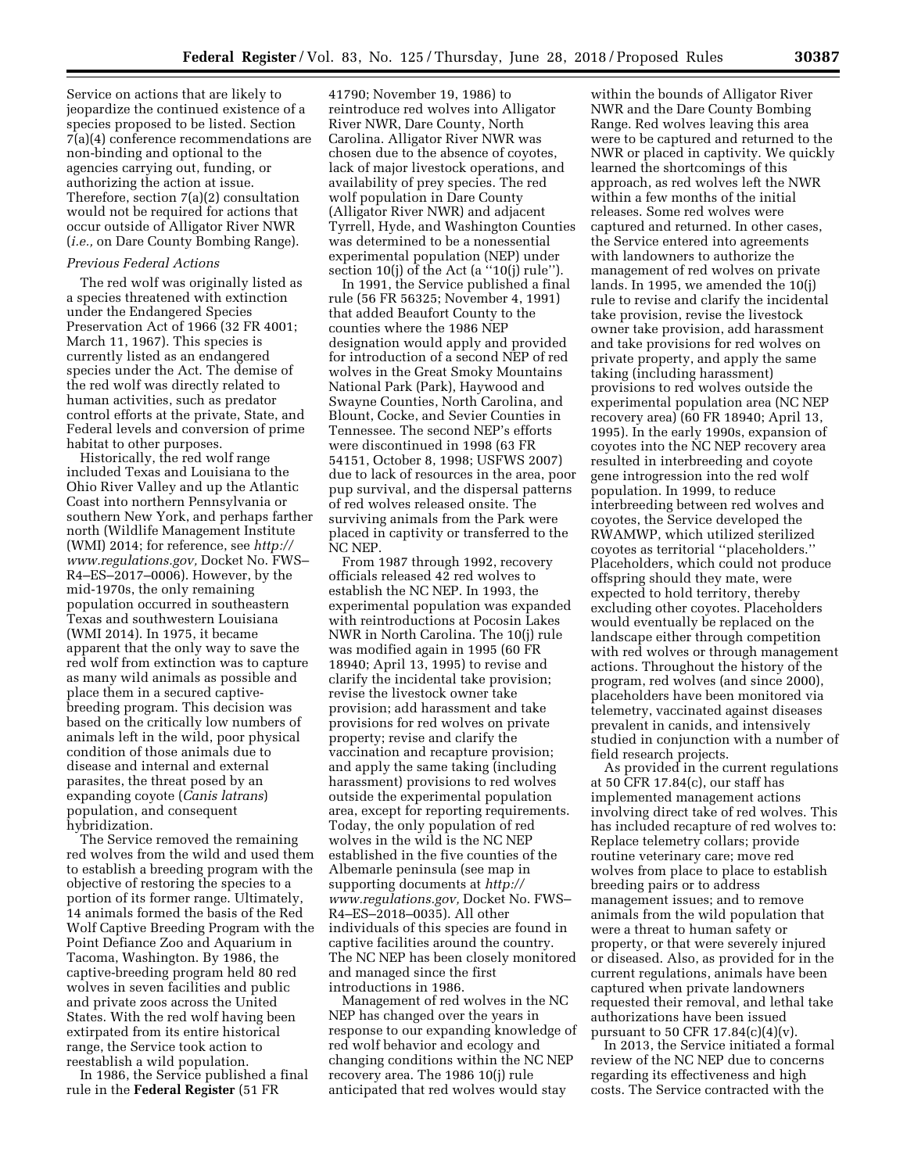Service on actions that are likely to jeopardize the continued existence of a species proposed to be listed. Section 7(a)(4) conference recommendations are non-binding and optional to the agencies carrying out, funding, or authorizing the action at issue. Therefore, section 7(a)(2) consultation would not be required for actions that occur outside of Alligator River NWR (*i.e.,* on Dare County Bombing Range).

#### *Previous Federal Actions*

The red wolf was originally listed as a species threatened with extinction under the Endangered Species Preservation Act of 1966 (32 FR 4001; March 11, 1967). This species is currently listed as an endangered species under the Act. The demise of the red wolf was directly related to human activities, such as predator control efforts at the private, State, and Federal levels and conversion of prime habitat to other purposes.

Historically, the red wolf range included Texas and Louisiana to the Ohio River Valley and up the Atlantic Coast into northern Pennsylvania or southern New York, and perhaps farther north (Wildlife Management Institute (WMI) 2014; for reference, see *[http://](http://www.regulations.gov) [www.regulations.gov,](http://www.regulations.gov)* Docket No. FWS– R4–ES–2017–0006). However, by the mid-1970s, the only remaining population occurred in southeastern Texas and southwestern Louisiana (WMI 2014). In 1975, it became apparent that the only way to save the red wolf from extinction was to capture as many wild animals as possible and place them in a secured captivebreeding program. This decision was based on the critically low numbers of animals left in the wild, poor physical condition of those animals due to disease and internal and external parasites, the threat posed by an expanding coyote (*Canis latrans*) population, and consequent hybridization.

The Service removed the remaining red wolves from the wild and used them to establish a breeding program with the objective of restoring the species to a portion of its former range. Ultimately, 14 animals formed the basis of the Red Wolf Captive Breeding Program with the Point Defiance Zoo and Aquarium in Tacoma, Washington. By 1986, the captive-breeding program held 80 red wolves in seven facilities and public and private zoos across the United States. With the red wolf having been extirpated from its entire historical range, the Service took action to reestablish a wild population.

In 1986, the Service published a final rule in the **Federal Register** (51 FR

41790; November 19, 1986) to reintroduce red wolves into Alligator River NWR, Dare County, North Carolina. Alligator River NWR was chosen due to the absence of coyotes, lack of major livestock operations, and availability of prey species. The red wolf population in Dare County (Alligator River NWR) and adjacent Tyrrell, Hyde, and Washington Counties was determined to be a nonessential experimental population (NEP) under section 10(j) of the Act (a "10(j) rule").

In 1991, the Service published a final rule (56 FR 56325; November 4, 1991) that added Beaufort County to the counties where the 1986 NEP designation would apply and provided for introduction of a second NEP of red wolves in the Great Smoky Mountains National Park (Park), Haywood and Swayne Counties, North Carolina, and Blount, Cocke, and Sevier Counties in Tennessee. The second NEP's efforts were discontinued in 1998 (63 FR 54151, October 8, 1998; USFWS 2007) due to lack of resources in the area, poor pup survival, and the dispersal patterns of red wolves released onsite. The surviving animals from the Park were placed in captivity or transferred to the NC NEP.

From 1987 through 1992, recovery officials released 42 red wolves to establish the NC NEP. In 1993, the experimental population was expanded with reintroductions at Pocosin Lakes NWR in North Carolina. The 10(j) rule was modified again in 1995 (60 FR 18940; April 13, 1995) to revise and clarify the incidental take provision; revise the livestock owner take provision; add harassment and take provisions for red wolves on private property; revise and clarify the vaccination and recapture provision; and apply the same taking (including harassment) provisions to red wolves outside the experimental population area, except for reporting requirements. Today, the only population of red wolves in the wild is the NC NEP established in the five counties of the Albemarle peninsula (see map in supporting documents at *[http://](http://www.regulations.gov) [www.regulations.gov,](http://www.regulations.gov)* Docket No. FWS– R4–ES–2018–0035). All other individuals of this species are found in captive facilities around the country. The NC NEP has been closely monitored and managed since the first introductions in 1986.

Management of red wolves in the NC NEP has changed over the years in response to our expanding knowledge of red wolf behavior and ecology and changing conditions within the NC NEP recovery area. The 1986 10(j) rule anticipated that red wolves would stay

within the bounds of Alligator River NWR and the Dare County Bombing Range. Red wolves leaving this area were to be captured and returned to the NWR or placed in captivity. We quickly learned the shortcomings of this approach, as red wolves left the NWR within a few months of the initial releases. Some red wolves were captured and returned. In other cases, the Service entered into agreements with landowners to authorize the management of red wolves on private lands. In 1995, we amended the 10(j) rule to revise and clarify the incidental take provision, revise the livestock owner take provision, add harassment and take provisions for red wolves on private property, and apply the same taking (including harassment) provisions to red wolves outside the experimental population area (NC NEP recovery area) (60 FR 18940; April 13, 1995). In the early 1990s, expansion of coyotes into the NC NEP recovery area resulted in interbreeding and coyote gene introgression into the red wolf population. In 1999, to reduce interbreeding between red wolves and coyotes, the Service developed the RWAMWP, which utilized sterilized coyotes as territorial ''placeholders.'' Placeholders, which could not produce offspring should they mate, were expected to hold territory, thereby excluding other coyotes. Placeholders would eventually be replaced on the landscape either through competition with red wolves or through management actions. Throughout the history of the program, red wolves (and since 2000), placeholders have been monitored via telemetry, vaccinated against diseases prevalent in canids, and intensively studied in conjunction with a number of field research projects.

As provided in the current regulations at 50 CFR 17.84(c), our staff has implemented management actions involving direct take of red wolves. This has included recapture of red wolves to: Replace telemetry collars; provide routine veterinary care; move red wolves from place to place to establish breeding pairs or to address management issues; and to remove animals from the wild population that were a threat to human safety or property, or that were severely injured or diseased. Also, as provided for in the current regulations, animals have been captured when private landowners requested their removal, and lethal take authorizations have been issued pursuant to 50 CFR  $17.84(c)(4)(v)$ .

In 2013, the Service initiated a formal review of the NC NEP due to concerns regarding its effectiveness and high costs. The Service contracted with the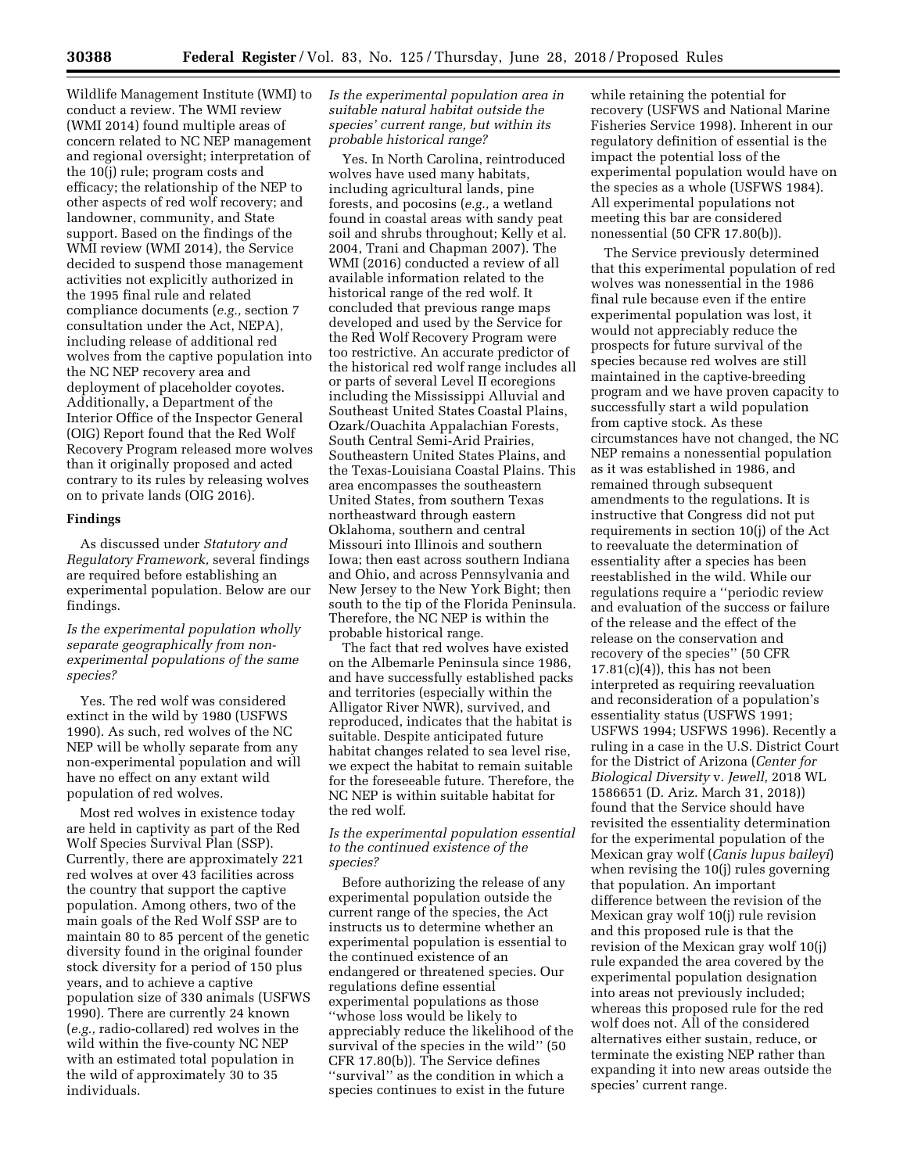Wildlife Management Institute (WMI) to conduct a review. The WMI review (WMI 2014) found multiple areas of concern related to NC NEP management and regional oversight; interpretation of the 10(j) rule; program costs and efficacy; the relationship of the NEP to other aspects of red wolf recovery; and landowner, community, and State support. Based on the findings of the WMI review (WMI 2014), the Service decided to suspend those management activities not explicitly authorized in the 1995 final rule and related compliance documents (*e.g.,* section 7 consultation under the Act, NEPA), including release of additional red wolves from the captive population into the NC NEP recovery area and deployment of placeholder coyotes. Additionally, a Department of the Interior Office of the Inspector General (OIG) Report found that the Red Wolf Recovery Program released more wolves than it originally proposed and acted contrary to its rules by releasing wolves on to private lands (OIG 2016).

# **Findings**

As discussed under *Statutory and Regulatory Framework,* several findings are required before establishing an experimental population. Below are our findings.

# *Is the experimental population wholly separate geographically from nonexperimental populations of the same species?*

Yes. The red wolf was considered extinct in the wild by 1980 (USFWS 1990). As such, red wolves of the NC NEP will be wholly separate from any non-experimental population and will have no effect on any extant wild population of red wolves.

Most red wolves in existence today are held in captivity as part of the Red Wolf Species Survival Plan (SSP). Currently, there are approximately 221 red wolves at over 43 facilities across the country that support the captive population. Among others, two of the main goals of the Red Wolf SSP are to maintain 80 to 85 percent of the genetic diversity found in the original founder stock diversity for a period of 150 plus years, and to achieve a captive population size of 330 animals (USFWS 1990). There are currently 24 known (*e.g.,* radio-collared) red wolves in the wild within the five-county NC NEP with an estimated total population in the wild of approximately 30 to 35 individuals.

# *Is the experimental population area in suitable natural habitat outside the species' current range, but within its probable historical range?*

Yes. In North Carolina, reintroduced wolves have used many habitats, including agricultural lands, pine forests, and pocosins (*e.g.,* a wetland found in coastal areas with sandy peat soil and shrubs throughout; Kelly et al. 2004, Trani and Chapman 2007). The WMI (2016) conducted a review of all available information related to the historical range of the red wolf. It concluded that previous range maps developed and used by the Service for the Red Wolf Recovery Program were too restrictive. An accurate predictor of the historical red wolf range includes all or parts of several Level II ecoregions including the Mississippi Alluvial and Southeast United States Coastal Plains, Ozark/Ouachita Appalachian Forests, South Central Semi-Arid Prairies, Southeastern United States Plains, and the Texas-Louisiana Coastal Plains. This area encompasses the southeastern United States, from southern Texas northeastward through eastern Oklahoma, southern and central Missouri into Illinois and southern Iowa; then east across southern Indiana and Ohio, and across Pennsylvania and New Jersey to the New York Bight; then south to the tip of the Florida Peninsula. Therefore, the NC NEP is within the probable historical range.

The fact that red wolves have existed on the Albemarle Peninsula since 1986, and have successfully established packs and territories (especially within the Alligator River NWR), survived, and reproduced, indicates that the habitat is suitable. Despite anticipated future habitat changes related to sea level rise, we expect the habitat to remain suitable for the foreseeable future. Therefore, the NC NEP is within suitable habitat for the red wolf.

# *Is the experimental population essential to the continued existence of the species?*

Before authorizing the release of any experimental population outside the current range of the species, the Act instructs us to determine whether an experimental population is essential to the continued existence of an endangered or threatened species. Our regulations define essential experimental populations as those ''whose loss would be likely to appreciably reduce the likelihood of the survival of the species in the wild'' (50 CFR 17.80(b)). The Service defines ''survival'' as the condition in which a species continues to exist in the future

while retaining the potential for recovery (USFWS and National Marine Fisheries Service 1998). Inherent in our regulatory definition of essential is the impact the potential loss of the experimental population would have on the species as a whole (USFWS 1984). All experimental populations not meeting this bar are considered nonessential (50 CFR 17.80(b)).

The Service previously determined that this experimental population of red wolves was nonessential in the 1986 final rule because even if the entire experimental population was lost, it would not appreciably reduce the prospects for future survival of the species because red wolves are still maintained in the captive-breeding program and we have proven capacity to successfully start a wild population from captive stock. As these circumstances have not changed, the NC NEP remains a nonessential population as it was established in 1986, and remained through subsequent amendments to the regulations. It is instructive that Congress did not put requirements in section 10(j) of the Act to reevaluate the determination of essentiality after a species has been reestablished in the wild. While our regulations require a ''periodic review and evaluation of the success or failure of the release and the effect of the release on the conservation and recovery of the species'' (50 CFR  $17.81(c)(4)$ , this has not been interpreted as requiring reevaluation and reconsideration of a population's essentiality status (USFWS 1991; USFWS 1994; USFWS 1996). Recently a ruling in a case in the U.S. District Court for the District of Arizona (*Center for Biological Diversity* v. *Jewell,* 2018 WL 1586651 (D. Ariz. March 31, 2018)) found that the Service should have revisited the essentiality determination for the experimental population of the Mexican gray wolf (*Canis lupus baileyi*) when revising the 10(j) rules governing that population. An important difference between the revision of the Mexican gray wolf 10(j) rule revision and this proposed rule is that the revision of the Mexican gray wolf 10(j) rule expanded the area covered by the experimental population designation into areas not previously included; whereas this proposed rule for the red wolf does not. All of the considered alternatives either sustain, reduce, or terminate the existing NEP rather than expanding it into new areas outside the species' current range.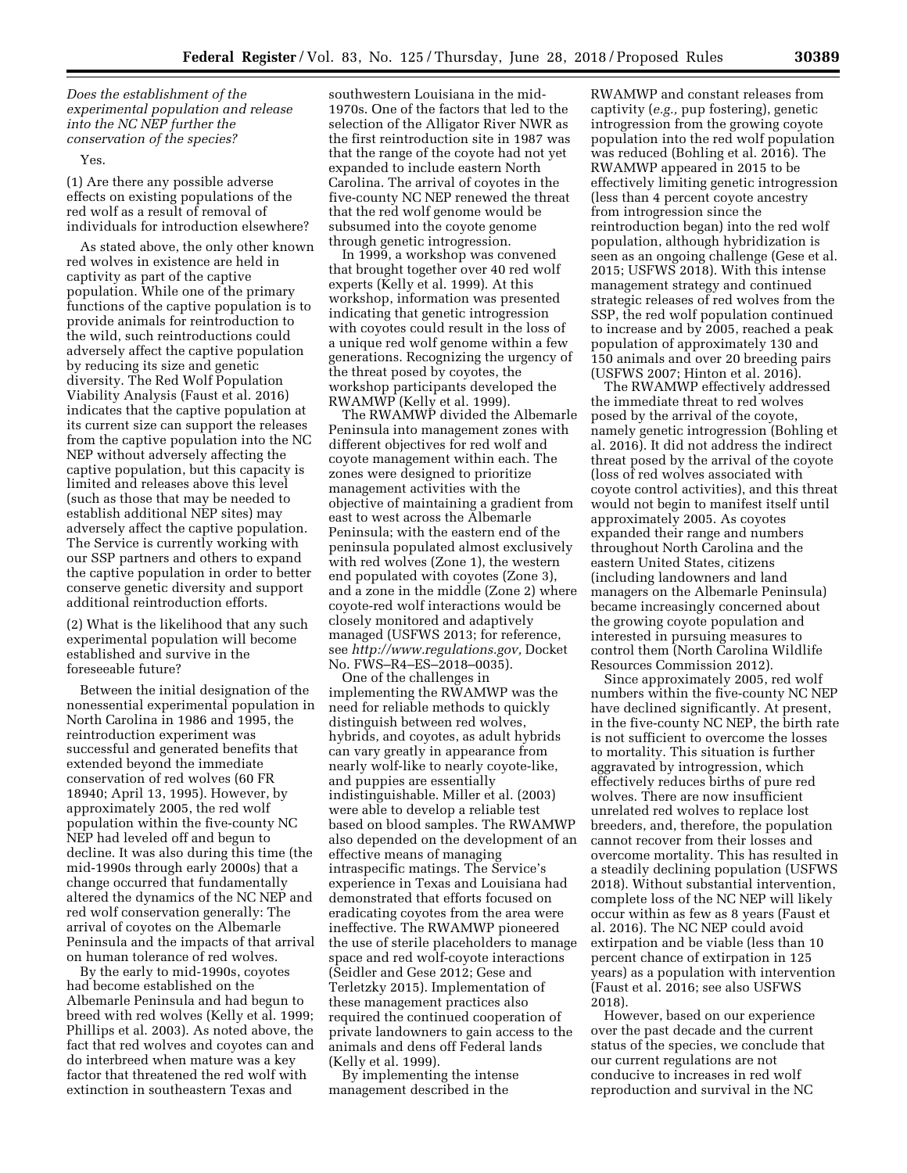*Does the establishment of the experimental population and release into the NC NEP further the conservation of the species?* 

### Yes.

(1) Are there any possible adverse effects on existing populations of the red wolf as a result of removal of individuals for introduction elsewhere?

As stated above, the only other known red wolves in existence are held in captivity as part of the captive population. While one of the primary functions of the captive population is to provide animals for reintroduction to the wild, such reintroductions could adversely affect the captive population by reducing its size and genetic diversity. The Red Wolf Population Viability Analysis (Faust et al. 2016) indicates that the captive population at its current size can support the releases from the captive population into the NC NEP without adversely affecting the captive population, but this capacity is limited and releases above this level (such as those that may be needed to establish additional NEP sites) may adversely affect the captive population. The Service is currently working with our SSP partners and others to expand the captive population in order to better conserve genetic diversity and support additional reintroduction efforts.

(2) What is the likelihood that any such experimental population will become established and survive in the foreseeable future?

Between the initial designation of the nonessential experimental population in North Carolina in 1986 and 1995, the reintroduction experiment was successful and generated benefits that extended beyond the immediate conservation of red wolves (60 FR 18940; April 13, 1995). However, by approximately 2005, the red wolf population within the five-county NC NEP had leveled off and begun to decline. It was also during this time (the mid-1990s through early 2000s) that a change occurred that fundamentally altered the dynamics of the NC NEP and red wolf conservation generally: The arrival of coyotes on the Albemarle Peninsula and the impacts of that arrival on human tolerance of red wolves.

By the early to mid-1990s, coyotes had become established on the Albemarle Peninsula and had begun to breed with red wolves (Kelly et al. 1999; Phillips et al. 2003). As noted above, the fact that red wolves and coyotes can and do interbreed when mature was a key factor that threatened the red wolf with extinction in southeastern Texas and

southwestern Louisiana in the mid-1970s. One of the factors that led to the selection of the Alligator River NWR as the first reintroduction site in 1987 was that the range of the coyote had not yet expanded to include eastern North Carolina. The arrival of coyotes in the five-county NC NEP renewed the threat that the red wolf genome would be subsumed into the coyote genome through genetic introgression.

In 1999, a workshop was convened that brought together over 40 red wolf experts (Kelly et al. 1999). At this workshop, information was presented indicating that genetic introgression with coyotes could result in the loss of a unique red wolf genome within a few generations. Recognizing the urgency of the threat posed by coyotes, the workshop participants developed the RWAMWP (Kelly et al. 1999).

The RWAMWP divided the Albemarle Peninsula into management zones with different objectives for red wolf and coyote management within each. The zones were designed to prioritize management activities with the objective of maintaining a gradient from east to west across the Albemarle Peninsula; with the eastern end of the peninsula populated almost exclusively with red wolves (Zone 1), the western end populated with coyotes (Zone 3), and a zone in the middle (Zone 2) where coyote-red wolf interactions would be closely monitored and adaptively managed (USFWS 2013; for reference, see *[http://www.regulations.gov,](http://www.regulations.gov)* Docket No. FWS–R4–ES–2018–0035).

One of the challenges in implementing the RWAMWP was the need for reliable methods to quickly distinguish between red wolves, hybrids, and coyotes, as adult hybrids can vary greatly in appearance from nearly wolf-like to nearly coyote-like, and puppies are essentially indistinguishable. Miller et al. (2003) were able to develop a reliable test based on blood samples. The RWAMWP also depended on the development of an effective means of managing intraspecific matings. The Service's experience in Texas and Louisiana had demonstrated that efforts focused on eradicating coyotes from the area were ineffective. The RWAMWP pioneered the use of sterile placeholders to manage space and red wolf-coyote interactions (Seidler and Gese 2012; Gese and Terletzky 2015). Implementation of these management practices also required the continued cooperation of private landowners to gain access to the animals and dens off Federal lands (Kelly et al. 1999).

By implementing the intense management described in the

RWAMWP and constant releases from captivity (*e.g.,* pup fostering), genetic introgression from the growing coyote population into the red wolf population was reduced (Bohling et al. 2016). The RWAMWP appeared in 2015 to be effectively limiting genetic introgression (less than 4 percent coyote ancestry from introgression since the reintroduction began) into the red wolf population, although hybridization is seen as an ongoing challenge (Gese et al. 2015; USFWS 2018). With this intense management strategy and continued strategic releases of red wolves from the SSP, the red wolf population continued to increase and by 2005, reached a peak population of approximately 130 and 150 animals and over 20 breeding pairs (USFWS 2007; Hinton et al. 2016).

The RWAMWP effectively addressed the immediate threat to red wolves posed by the arrival of the coyote, namely genetic introgression (Bohling et al. 2016). It did not address the indirect threat posed by the arrival of the coyote (loss of red wolves associated with coyote control activities), and this threat would not begin to manifest itself until approximately 2005. As coyotes expanded their range and numbers throughout North Carolina and the eastern United States, citizens (including landowners and land managers on the Albemarle Peninsula) became increasingly concerned about the growing coyote population and interested in pursuing measures to control them (North Carolina Wildlife Resources Commission 2012).

Since approximately 2005, red wolf numbers within the five-county NC NEP have declined significantly. At present, in the five-county NC NEP, the birth rate is not sufficient to overcome the losses to mortality. This situation is further aggravated by introgression, which effectively reduces births of pure red wolves. There are now insufficient unrelated red wolves to replace lost breeders, and, therefore, the population cannot recover from their losses and overcome mortality. This has resulted in a steadily declining population (USFWS 2018). Without substantial intervention, complete loss of the NC NEP will likely occur within as few as 8 years (Faust et al. 2016). The NC NEP could avoid extirpation and be viable (less than 10 percent chance of extirpation in 125 years) as a population with intervention (Faust et al. 2016; see also USFWS 2018).

However, based on our experience over the past decade and the current status of the species, we conclude that our current regulations are not conducive to increases in red wolf reproduction and survival in the NC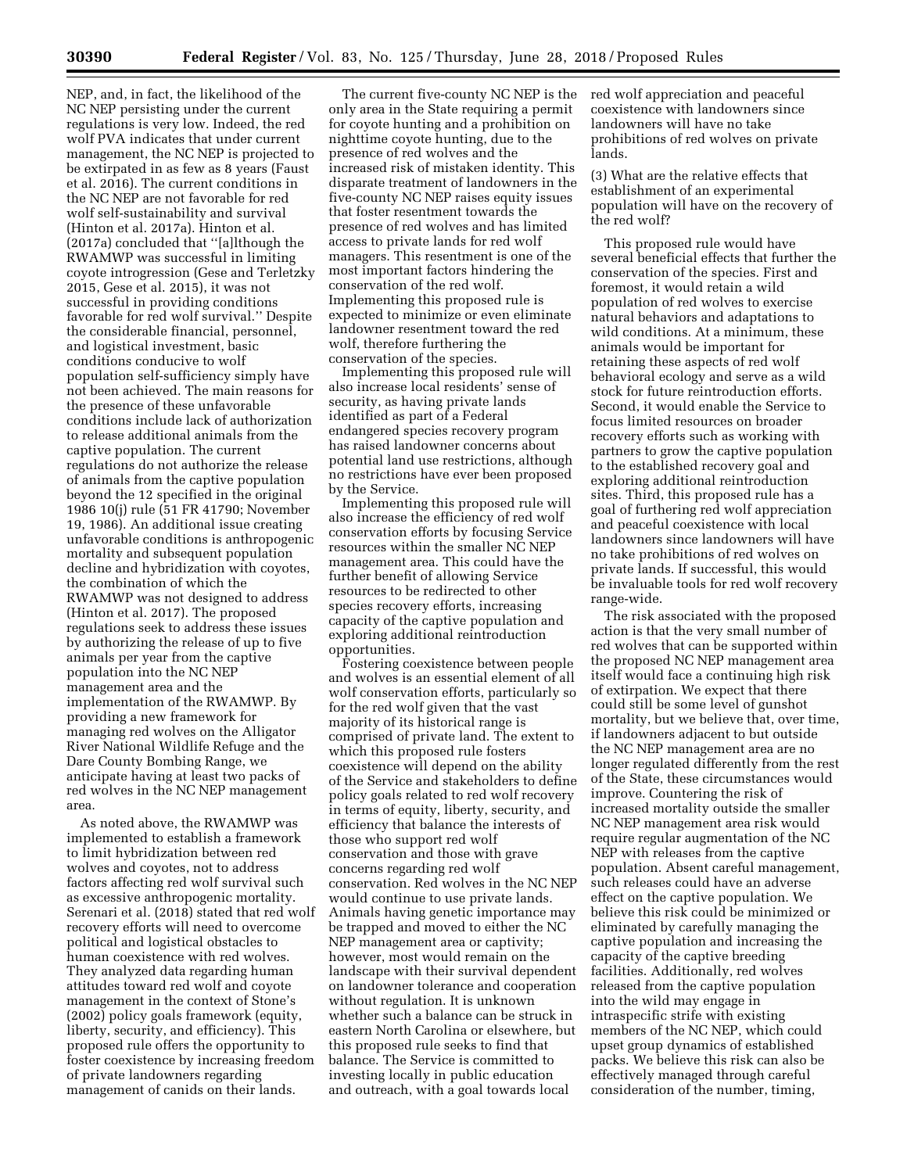NEP, and, in fact, the likelihood of the NC NEP persisting under the current regulations is very low. Indeed, the red wolf PVA indicates that under current management, the NC NEP is projected to be extirpated in as few as 8 years (Faust et al. 2016). The current conditions in the NC NEP are not favorable for red wolf self-sustainability and survival (Hinton et al. 2017a). Hinton et al. (2017a) concluded that ''[a]lthough the RWAMWP was successful in limiting coyote introgression (Gese and Terletzky 2015, Gese et al. 2015), it was not successful in providing conditions favorable for red wolf survival.'' Despite the considerable financial, personnel, and logistical investment, basic conditions conducive to wolf population self-sufficiency simply have not been achieved. The main reasons for the presence of these unfavorable conditions include lack of authorization to release additional animals from the captive population. The current regulations do not authorize the release of animals from the captive population beyond the 12 specified in the original 1986 10(j) rule (51 FR 41790; November 19, 1986). An additional issue creating unfavorable conditions is anthropogenic mortality and subsequent population decline and hybridization with coyotes, the combination of which the RWAMWP was not designed to address (Hinton et al. 2017). The proposed regulations seek to address these issues by authorizing the release of up to five animals per year from the captive population into the NC NEP management area and the implementation of the RWAMWP. By providing a new framework for managing red wolves on the Alligator River National Wildlife Refuge and the Dare County Bombing Range, we anticipate having at least two packs of red wolves in the NC NEP management area.

As noted above, the RWAMWP was implemented to establish a framework to limit hybridization between red wolves and coyotes, not to address factors affecting red wolf survival such as excessive anthropogenic mortality. Serenari et al. (2018) stated that red wolf recovery efforts will need to overcome political and logistical obstacles to human coexistence with red wolves. They analyzed data regarding human attitudes toward red wolf and coyote management in the context of Stone's (2002) policy goals framework (equity, liberty, security, and efficiency). This proposed rule offers the opportunity to foster coexistence by increasing freedom of private landowners regarding management of canids on their lands.

The current five-county NC NEP is the only area in the State requiring a permit for coyote hunting and a prohibition on nighttime coyote hunting, due to the presence of red wolves and the increased risk of mistaken identity. This disparate treatment of landowners in the five-county NC NEP raises equity issues that foster resentment towards the presence of red wolves and has limited access to private lands for red wolf managers. This resentment is one of the most important factors hindering the conservation of the red wolf. Implementing this proposed rule is expected to minimize or even eliminate landowner resentment toward the red wolf, therefore furthering the conservation of the species.

Implementing this proposed rule will also increase local residents' sense of security, as having private lands identified as part of a Federal endangered species recovery program has raised landowner concerns about potential land use restrictions, although no restrictions have ever been proposed by the Service.

Implementing this proposed rule will also increase the efficiency of red wolf conservation efforts by focusing Service resources within the smaller NC NEP management area. This could have the further benefit of allowing Service resources to be redirected to other species recovery efforts, increasing capacity of the captive population and exploring additional reintroduction opportunities.

Fostering coexistence between people and wolves is an essential element of all wolf conservation efforts, particularly so for the red wolf given that the vast majority of its historical range is comprised of private land. The extent to which this proposed rule fosters coexistence will depend on the ability of the Service and stakeholders to define policy goals related to red wolf recovery in terms of equity, liberty, security, and efficiency that balance the interests of those who support red wolf conservation and those with grave concerns regarding red wolf conservation. Red wolves in the NC NEP would continue to use private lands. Animals having genetic importance may be trapped and moved to either the NC NEP management area or captivity; however, most would remain on the landscape with their survival dependent on landowner tolerance and cooperation without regulation. It is unknown whether such a balance can be struck in eastern North Carolina or elsewhere, but this proposed rule seeks to find that balance. The Service is committed to investing locally in public education and outreach, with a goal towards local

red wolf appreciation and peaceful coexistence with landowners since landowners will have no take prohibitions of red wolves on private lands.

(3) What are the relative effects that establishment of an experimental population will have on the recovery of the red wolf?

This proposed rule would have several beneficial effects that further the conservation of the species. First and foremost, it would retain a wild population of red wolves to exercise natural behaviors and adaptations to wild conditions. At a minimum, these animals would be important for retaining these aspects of red wolf behavioral ecology and serve as a wild stock for future reintroduction efforts. Second, it would enable the Service to focus limited resources on broader recovery efforts such as working with partners to grow the captive population to the established recovery goal and exploring additional reintroduction sites. Third, this proposed rule has a goal of furthering red wolf appreciation and peaceful coexistence with local landowners since landowners will have no take prohibitions of red wolves on private lands. If successful, this would be invaluable tools for red wolf recovery range-wide.

The risk associated with the proposed action is that the very small number of red wolves that can be supported within the proposed NC NEP management area itself would face a continuing high risk of extirpation. We expect that there could still be some level of gunshot mortality, but we believe that, over time, if landowners adjacent to but outside the NC NEP management area are no longer regulated differently from the rest of the State, these circumstances would improve. Countering the risk of increased mortality outside the smaller NC NEP management area risk would require regular augmentation of the NC NEP with releases from the captive population. Absent careful management, such releases could have an adverse effect on the captive population. We believe this risk could be minimized or eliminated by carefully managing the captive population and increasing the capacity of the captive breeding facilities. Additionally, red wolves released from the captive population into the wild may engage in intraspecific strife with existing members of the NC NEP, which could upset group dynamics of established packs. We believe this risk can also be effectively managed through careful consideration of the number, timing,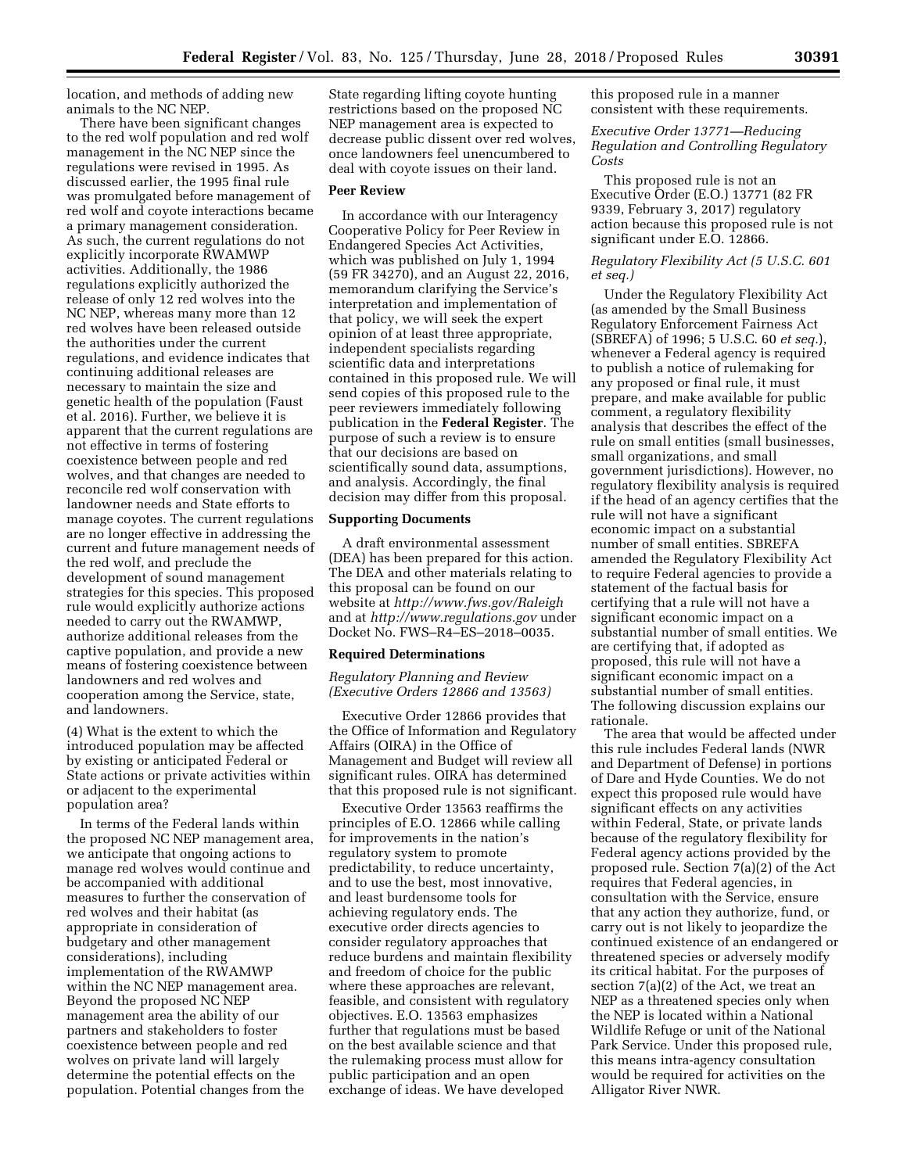location, and methods of adding new animals to the NC NEP.

There have been significant changes to the red wolf population and red wolf management in the NC NEP since the regulations were revised in 1995. As discussed earlier, the 1995 final rule was promulgated before management of red wolf and coyote interactions became a primary management consideration. As such, the current regulations do not explicitly incorporate RWAMWP activities. Additionally, the 1986 regulations explicitly authorized the release of only 12 red wolves into the NC NEP, whereas many more than 12 red wolves have been released outside the authorities under the current regulations, and evidence indicates that continuing additional releases are necessary to maintain the size and genetic health of the population (Faust et al. 2016). Further, we believe it is apparent that the current regulations are not effective in terms of fostering coexistence between people and red wolves, and that changes are needed to reconcile red wolf conservation with landowner needs and State efforts to manage coyotes. The current regulations are no longer effective in addressing the current and future management needs of the red wolf, and preclude the development of sound management strategies for this species. This proposed rule would explicitly authorize actions needed to carry out the RWAMWP, authorize additional releases from the captive population, and provide a new means of fostering coexistence between landowners and red wolves and cooperation among the Service, state, and landowners.

(4) What is the extent to which the introduced population may be affected by existing or anticipated Federal or State actions or private activities within or adjacent to the experimental population area?

In terms of the Federal lands within the proposed NC NEP management area, we anticipate that ongoing actions to manage red wolves would continue and be accompanied with additional measures to further the conservation of red wolves and their habitat (as appropriate in consideration of budgetary and other management considerations), including implementation of the RWAMWP within the NC NEP management area. Beyond the proposed NC NEP management area the ability of our partners and stakeholders to foster coexistence between people and red wolves on private land will largely determine the potential effects on the population. Potential changes from the

State regarding lifting coyote hunting restrictions based on the proposed NC NEP management area is expected to decrease public dissent over red wolves, once landowners feel unencumbered to deal with coyote issues on their land.

# **Peer Review**

In accordance with our Interagency Cooperative Policy for Peer Review in Endangered Species Act Activities, which was published on July 1, 1994 (59 FR 34270), and an August 22, 2016, memorandum clarifying the Service's interpretation and implementation of that policy, we will seek the expert opinion of at least three appropriate, independent specialists regarding scientific data and interpretations contained in this proposed rule. We will send copies of this proposed rule to the peer reviewers immediately following publication in the **Federal Register**. The purpose of such a review is to ensure that our decisions are based on scientifically sound data, assumptions, and analysis. Accordingly, the final decision may differ from this proposal.

### **Supporting Documents**

A draft environmental assessment (DEA) has been prepared for this action. The DEA and other materials relating to this proposal can be found on our website at *<http://www.fws.gov/Raleigh>* and at *<http://www.regulations.gov>* under Docket No. FWS–R4–ES–2018–0035.

#### **Required Determinations**

*Regulatory Planning and Review (Executive Orders 12866 and 13563)* 

Executive Order 12866 provides that the Office of Information and Regulatory Affairs (OIRA) in the Office of Management and Budget will review all significant rules. OIRA has determined that this proposed rule is not significant.

Executive Order 13563 reaffirms the principles of E.O. 12866 while calling for improvements in the nation's regulatory system to promote predictability, to reduce uncertainty, and to use the best, most innovative, and least burdensome tools for achieving regulatory ends. The executive order directs agencies to consider regulatory approaches that reduce burdens and maintain flexibility and freedom of choice for the public where these approaches are relevant, feasible, and consistent with regulatory objectives. E.O. 13563 emphasizes further that regulations must be based on the best available science and that the rulemaking process must allow for public participation and an open exchange of ideas. We have developed

this proposed rule in a manner consistent with these requirements.

# *Executive Order 13771—Reducing Regulation and Controlling Regulatory Costs*

This proposed rule is not an Executive Order (E.O.) 13771 (82 FR 9339, February 3, 2017) regulatory action because this proposed rule is not significant under E.O. 12866.

# *Regulatory Flexibility Act (5 U.S.C. 601 et seq.)*

Under the Regulatory Flexibility Act (as amended by the Small Business Regulatory Enforcement Fairness Act (SBREFA) of 1996; 5 U.S.C. 60 *et seq.*), whenever a Federal agency is required to publish a notice of rulemaking for any proposed or final rule, it must prepare, and make available for public comment, a regulatory flexibility analysis that describes the effect of the rule on small entities (small businesses, small organizations, and small government jurisdictions). However, no regulatory flexibility analysis is required if the head of an agency certifies that the rule will not have a significant economic impact on a substantial number of small entities. SBREFA amended the Regulatory Flexibility Act to require Federal agencies to provide a statement of the factual basis for certifying that a rule will not have a significant economic impact on a substantial number of small entities. We are certifying that, if adopted as proposed, this rule will not have a significant economic impact on a substantial number of small entities. The following discussion explains our rationale.

The area that would be affected under this rule includes Federal lands (NWR and Department of Defense) in portions of Dare and Hyde Counties. We do not expect this proposed rule would have significant effects on any activities within Federal, State, or private lands because of the regulatory flexibility for Federal agency actions provided by the proposed rule. Section 7(a)(2) of the Act requires that Federal agencies, in consultation with the Service, ensure that any action they authorize, fund, or carry out is not likely to jeopardize the continued existence of an endangered or threatened species or adversely modify its critical habitat. For the purposes of section 7(a)(2) of the Act, we treat an NEP as a threatened species only when the NEP is located within a National Wildlife Refuge or unit of the National Park Service. Under this proposed rule, this means intra-agency consultation would be required for activities on the Alligator River NWR.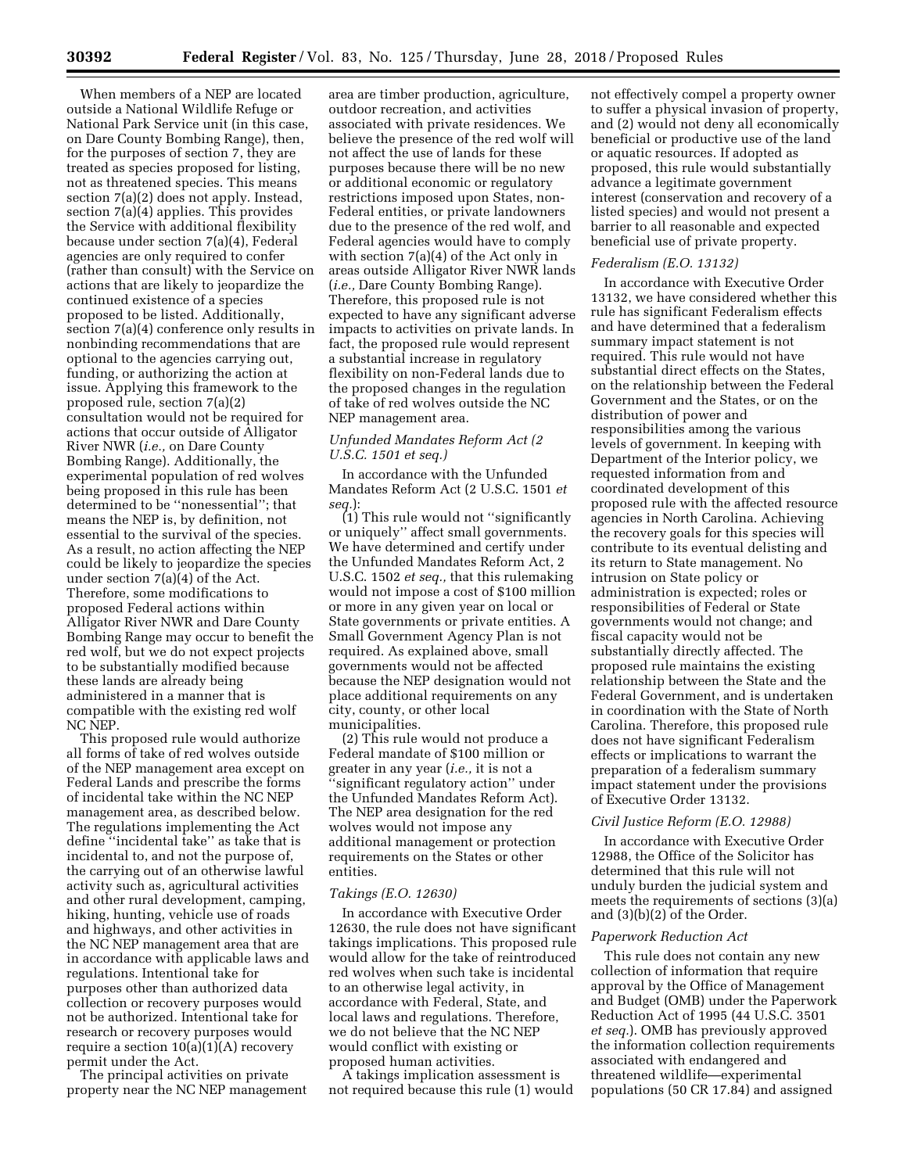When members of a NEP are located outside a National Wildlife Refuge or National Park Service unit (in this case, on Dare County Bombing Range), then, for the purposes of section 7, they are treated as species proposed for listing, not as threatened species. This means section 7(a)(2) does not apply. Instead, section 7(a)(4) applies. This provides the Service with additional flexibility because under section 7(a)(4), Federal agencies are only required to confer (rather than consult) with the Service on actions that are likely to jeopardize the continued existence of a species proposed to be listed. Additionally, section 7(a)(4) conference only results in nonbinding recommendations that are optional to the agencies carrying out, funding, or authorizing the action at issue. Applying this framework to the proposed rule, section 7(a)(2) consultation would not be required for actions that occur outside of Alligator River NWR (*i.e.,* on Dare County Bombing Range). Additionally, the experimental population of red wolves being proposed in this rule has been determined to be ''nonessential''; that means the NEP is, by definition, not essential to the survival of the species. As a result, no action affecting the NEP could be likely to jeopardize the species under section 7(a)(4) of the Act. Therefore, some modifications to proposed Federal actions within Alligator River NWR and Dare County Bombing Range may occur to benefit the red wolf, but we do not expect projects to be substantially modified because these lands are already being administered in a manner that is compatible with the existing red wolf NC NEP.

This proposed rule would authorize all forms of take of red wolves outside of the NEP management area except on Federal Lands and prescribe the forms of incidental take within the NC NEP management area, as described below. The regulations implementing the Act define ''incidental take'' as take that is incidental to, and not the purpose of, the carrying out of an otherwise lawful activity such as, agricultural activities and other rural development, camping, hiking, hunting, vehicle use of roads and highways, and other activities in the NC NEP management area that are in accordance with applicable laws and regulations. Intentional take for purposes other than authorized data collection or recovery purposes would not be authorized. Intentional take for research or recovery purposes would require a section  $10(a)(1)(A)$  recovery permit under the Act.

The principal activities on private property near the NC NEP management

area are timber production, agriculture, outdoor recreation, and activities associated with private residences. We believe the presence of the red wolf will not affect the use of lands for these purposes because there will be no new or additional economic or regulatory restrictions imposed upon States, non-Federal entities, or private landowners due to the presence of the red wolf, and Federal agencies would have to comply with section 7(a)(4) of the Act only in areas outside Alligator River NWR lands (*i.e.,* Dare County Bombing Range). Therefore, this proposed rule is not expected to have any significant adverse impacts to activities on private lands. In fact, the proposed rule would represent a substantial increase in regulatory flexibility on non-Federal lands due to the proposed changes in the regulation of take of red wolves outside the NC NEP management area.

# *Unfunded Mandates Reform Act (2 U.S.C. 1501 et seq.)*

In accordance with the Unfunded Mandates Reform Act (2 U.S.C. 1501 *et seq.*):

(1) This rule would not ''significantly or uniquely'' affect small governments. We have determined and certify under the Unfunded Mandates Reform Act, 2 U.S.C. 1502 *et seq.,* that this rulemaking would not impose a cost of \$100 million or more in any given year on local or State governments or private entities. A Small Government Agency Plan is not required. As explained above, small governments would not be affected because the NEP designation would not place additional requirements on any city, county, or other local municipalities.

(2) This rule would not produce a Federal mandate of \$100 million or greater in any year (*i.e.,* it is not a ''significant regulatory action'' under the Unfunded Mandates Reform Act). The NEP area designation for the red wolves would not impose any additional management or protection requirements on the States or other entities.

### *Takings (E.O. 12630)*

In accordance with Executive Order 12630, the rule does not have significant takings implications. This proposed rule would allow for the take of reintroduced red wolves when such take is incidental to an otherwise legal activity, in accordance with Federal, State, and local laws and regulations. Therefore, we do not believe that the NC NEP would conflict with existing or proposed human activities.

A takings implication assessment is not required because this rule (1) would

not effectively compel a property owner to suffer a physical invasion of property, and (2) would not deny all economically beneficial or productive use of the land or aquatic resources. If adopted as proposed, this rule would substantially advance a legitimate government interest (conservation and recovery of a listed species) and would not present a barrier to all reasonable and expected beneficial use of private property.

### *Federalism (E.O. 13132)*

In accordance with Executive Order 13132, we have considered whether this rule has significant Federalism effects and have determined that a federalism summary impact statement is not required. This rule would not have substantial direct effects on the States, on the relationship between the Federal Government and the States, or on the distribution of power and responsibilities among the various levels of government. In keeping with Department of the Interior policy, we requested information from and coordinated development of this proposed rule with the affected resource agencies in North Carolina. Achieving the recovery goals for this species will contribute to its eventual delisting and its return to State management. No intrusion on State policy or administration is expected; roles or responsibilities of Federal or State governments would not change; and fiscal capacity would not be substantially directly affected. The proposed rule maintains the existing relationship between the State and the Federal Government, and is undertaken in coordination with the State of North Carolina. Therefore, this proposed rule does not have significant Federalism effects or implications to warrant the preparation of a federalism summary impact statement under the provisions of Executive Order 13132.

#### *Civil Justice Reform (E.O. 12988)*

In accordance with Executive Order 12988, the Office of the Solicitor has determined that this rule will not unduly burden the judicial system and meets the requirements of sections (3)(a) and (3)(b)(2) of the Order.

#### *Paperwork Reduction Act*

This rule does not contain any new collection of information that require approval by the Office of Management and Budget (OMB) under the Paperwork Reduction Act of 1995 (44 U.S.C. 3501 *et seq.*). OMB has previously approved the information collection requirements associated with endangered and threatened wildlife—experimental populations (50 CR 17.84) and assigned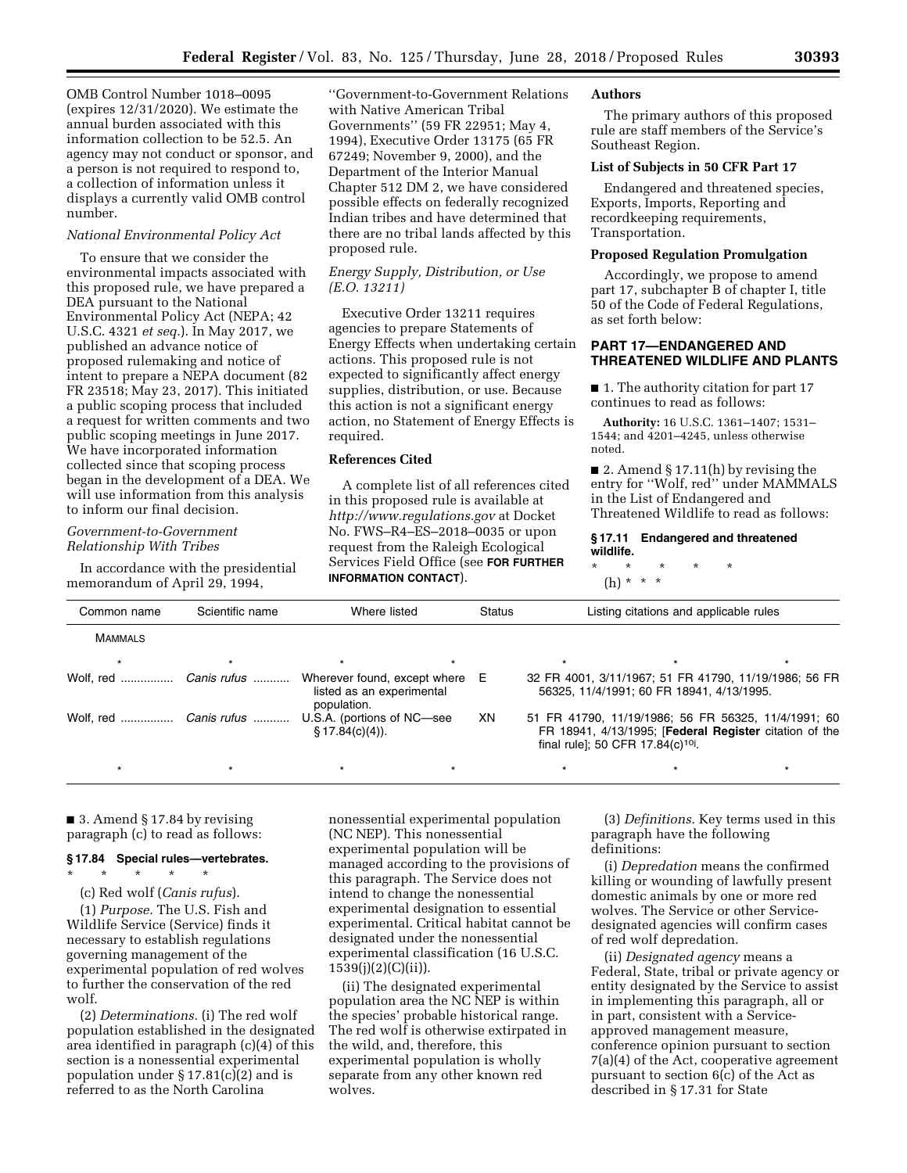OMB Control Number 1018–0095 (expires 12/31/2020). We estimate the annual burden associated with this information collection to be 52.5. An agency may not conduct or sponsor, and a person is not required to respond to, a collection of information unless it displays a currently valid OMB control number.

# *National Environmental Policy Act*

To ensure that we consider the environmental impacts associated with this proposed rule, we have prepared a DEA pursuant to the National Environmental Policy Act (NEPA; 42 U.S.C. 4321 *et seq.*). In May 2017, we published an advance notice of proposed rulemaking and notice of intent to prepare a NEPA document (82 FR 23518; May 23, 2017). This initiated a public scoping process that included a request for written comments and two public scoping meetings in June 2017. We have incorporated information collected since that scoping process began in the development of a DEA. We will use information from this analysis to inform our final decision.

# *Government-to-Government Relationship With Tribes*

In accordance with the presidential memorandum of April 29, 1994,

''Government-to-Government Relations with Native American Tribal Governments'' (59 FR 22951; May 4, 1994), Executive Order 13175 (65 FR 67249; November 9, 2000), and the Department of the Interior Manual Chapter 512 DM 2, we have considered possible effects on federally recognized Indian tribes and have determined that there are no tribal lands affected by this proposed rule.

## *Energy Supply, Distribution, or Use (E.O. 13211)*

Executive Order 13211 requires agencies to prepare Statements of Energy Effects when undertaking certain actions. This proposed rule is not expected to significantly affect energy supplies, distribution, or use. Because this action is not a significant energy action, no Statement of Energy Effects is required.

# **References Cited**

A complete list of all references cited in this proposed rule is available at *<http://www.regulations.gov>* at Docket No. FWS–R4–ES–2018–0035 or upon request from the Raleigh Ecological Services Field Office (see **FOR FURTHER INFORMATION CONTACT**).

# **Authors**

The primary authors of this proposed rule are staff members of the Service's Southeast Region.

## **List of Subjects in 50 CFR Part 17**

Endangered and threatened species, Exports, Imports, Reporting and recordkeeping requirements, Transportation.

# **Proposed Regulation Promulgation**

Accordingly, we propose to amend part 17, subchapter B of chapter I, title 50 of the Code of Federal Regulations, as set forth below:

## **PART 17—ENDANGERED AND THREATENED WILDLIFE AND PLANTS**

■ 1. The authority citation for part 17 continues to read as follows:

**Authority:** 16 U.S.C. 1361–1407; 1531– 1544; and 4201–4245, unless otherwise noted.

■ 2. Amend § 17.11(h) by revising the entry for ''Wolf, red'' under MAMMALS in the List of Endangered and Threatened Wildlife to read as follows:

#### **§ 17.11 Endangered and threatened wildlife.**

\* \* \* \* \* (h) \* \* \*

| Common name            | Scientific name        | Where listed                                                             | Status | Listing citations and applicable rules |                                               |                                                                                                               |
|------------------------|------------------------|--------------------------------------------------------------------------|--------|----------------------------------------|-----------------------------------------------|---------------------------------------------------------------------------------------------------------------|
| <b>MAMMALS</b>         |                        |                                                                          |        |                                        |                                               |                                                                                                               |
| $\star$                |                        | $\star$                                                                  |        |                                        |                                               |                                                                                                               |
| Wolf, red  Canis rufus |                        | Wherever found, except where<br>listed as an experimental<br>population. | E      |                                        | 56325, 11/4/1991; 60 FR 18941, 4/13/1995.     | 32 FR 4001, 3/11/1967; 51 FR 41790, 11/19/1986; 56 FR                                                         |
|                        | Wolf, red  Canis rufus | U.S.A. (portions of NC-see<br>$\S$ 17.84(c)(4)).                         | XN     |                                        | final rule]; 50 CFR 17.84(c) <sup>10j</sup> . | 51 FR 41790, 11/19/1986; 56 FR 56325, 11/4/1991; 60<br>FR 18941, 4/13/1995; [Federal Register citation of the |
|                        |                        |                                                                          |        |                                        |                                               |                                                                                                               |

■ 3. Amend § 17.84 by revising paragraph (c) to read as follows:

#### **§ 17.84 Special rules—vertebrates.**

\* \* \* \* \*

(c) Red wolf (*Canis rufus*).

(1) *Purpose.* The U.S. Fish and Wildlife Service (Service) finds it necessary to establish regulations governing management of the experimental population of red wolves to further the conservation of the red wolf.

(2) *Determinations.* (i) The red wolf population established in the designated area identified in paragraph (c)(4) of this section is a nonessential experimental population under  $\S 17.81(c)(2)$  and is referred to as the North Carolina

nonessential experimental population (NC NEP). This nonessential experimental population will be managed according to the provisions of this paragraph. The Service does not intend to change the nonessential experimental designation to essential experimental. Critical habitat cannot be designated under the nonessential experimental classification (16 U.S.C.  $1539(j)(2)(C)(ii)$ ).

(ii) The designated experimental population area the NC NEP is within the species' probable historical range. The red wolf is otherwise extirpated in the wild, and, therefore, this experimental population is wholly separate from any other known red wolves.

(3) *Definitions.* Key terms used in this paragraph have the following definitions:

(i) *Depredation* means the confirmed killing or wounding of lawfully present domestic animals by one or more red wolves. The Service or other Servicedesignated agencies will confirm cases of red wolf depredation.

(ii) *Designated agency* means a Federal, State, tribal or private agency or entity designated by the Service to assist in implementing this paragraph, all or in part, consistent with a Serviceapproved management measure, conference opinion pursuant to section 7(a)(4) of the Act, cooperative agreement pursuant to section 6(c) of the Act as described in § 17.31 for State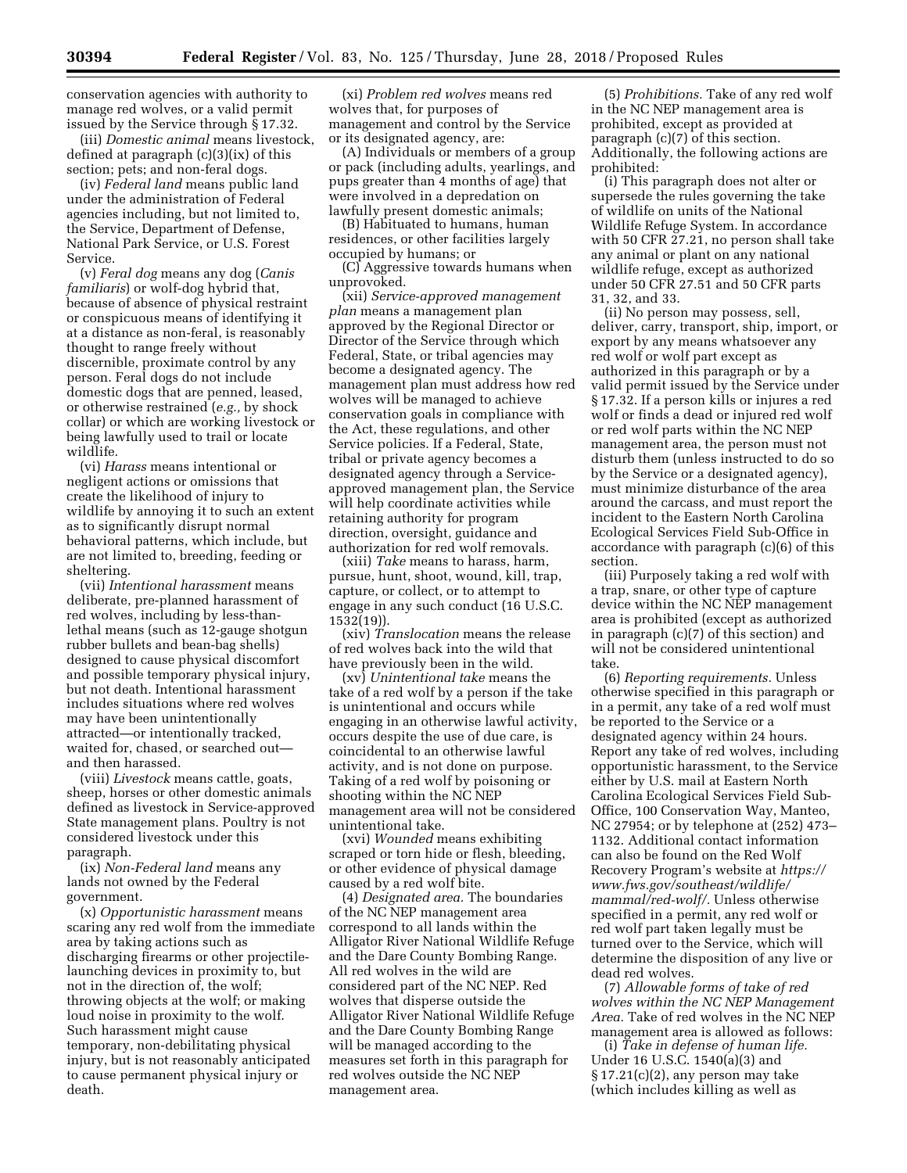conservation agencies with authority to manage red wolves, or a valid permit issued by the Service through § 17.32.

(iii) *Domestic animal* means livestock, defined at paragraph (c)(3)(ix) of this section; pets; and non-feral dogs.

(iv) *Federal land* means public land under the administration of Federal agencies including, but not limited to, the Service, Department of Defense, National Park Service, or U.S. Forest Service.

(v) *Feral dog* means any dog (*Canis familiaris*) or wolf-dog hybrid that, because of absence of physical restraint or conspicuous means of identifying it at a distance as non-feral, is reasonably thought to range freely without discernible, proximate control by any person. Feral dogs do not include domestic dogs that are penned, leased, or otherwise restrained (*e.g.,* by shock collar) or which are working livestock or being lawfully used to trail or locate wildlife.

(vi) *Harass* means intentional or negligent actions or omissions that create the likelihood of injury to wildlife by annoying it to such an extent as to significantly disrupt normal behavioral patterns, which include, but are not limited to, breeding, feeding or sheltering.

(vii) *Intentional harassment* means deliberate, pre-planned harassment of red wolves, including by less-thanlethal means (such as 12-gauge shotgun rubber bullets and bean-bag shells) designed to cause physical discomfort and possible temporary physical injury, but not death. Intentional harassment includes situations where red wolves may have been unintentionally attracted—or intentionally tracked, waited for, chased, or searched out and then harassed.

(viii) *Livestock* means cattle, goats, sheep, horses or other domestic animals defined as livestock in Service-approved State management plans. Poultry is not considered livestock under this paragraph.

(ix) *Non-Federal land* means any lands not owned by the Federal government.

(x) *Opportunistic harassment* means scaring any red wolf from the immediate area by taking actions such as discharging firearms or other projectilelaunching devices in proximity to, but not in the direction of, the wolf; throwing objects at the wolf; or making loud noise in proximity to the wolf. Such harassment might cause temporary, non-debilitating physical injury, but is not reasonably anticipated to cause permanent physical injury or death.

(xi) *Problem red wolves* means red wolves that, for purposes of management and control by the Service or its designated agency, are:

(A) Individuals or members of a group or pack (including adults, yearlings, and pups greater than 4 months of age) that were involved in a depredation on lawfully present domestic animals;

(B) Habituated to humans, human residences, or other facilities largely occupied by humans; or

(C) Aggressive towards humans when unprovoked.

(xii) *Service-approved management plan* means a management plan approved by the Regional Director or Director of the Service through which Federal, State, or tribal agencies may become a designated agency. The management plan must address how red wolves will be managed to achieve conservation goals in compliance with the Act, these regulations, and other Service policies. If a Federal, State, tribal or private agency becomes a designated agency through a Serviceapproved management plan, the Service will help coordinate activities while retaining authority for program direction, oversight, guidance and authorization for red wolf removals.

(xiii) *Take* means to harass, harm, pursue, hunt, shoot, wound, kill, trap, capture, or collect, or to attempt to engage in any such conduct (16 U.S.C. 1532(19)).

(xiv) *Translocation* means the release of red wolves back into the wild that have previously been in the wild.

(xv) *Unintentional take* means the take of a red wolf by a person if the take is unintentional and occurs while engaging in an otherwise lawful activity, occurs despite the use of due care, is coincidental to an otherwise lawful activity, and is not done on purpose. Taking of a red wolf by poisoning or shooting within the NC NEP management area will not be considered unintentional take.

(xvi) *Wounded* means exhibiting scraped or torn hide or flesh, bleeding, or other evidence of physical damage caused by a red wolf bite.

(4) *Designated area.* The boundaries of the NC NEP management area correspond to all lands within the Alligator River National Wildlife Refuge and the Dare County Bombing Range. All red wolves in the wild are considered part of the NC NEP. Red wolves that disperse outside the Alligator River National Wildlife Refuge and the Dare County Bombing Range will be managed according to the measures set forth in this paragraph for red wolves outside the NC NEP management area.

(5) *Prohibitions.* Take of any red wolf in the NC NEP management area is prohibited, except as provided at paragraph (c)(7) of this section. Additionally, the following actions are prohibited:

(i) This paragraph does not alter or supersede the rules governing the take of wildlife on units of the National Wildlife Refuge System. In accordance with 50 CFR 27.21, no person shall take any animal or plant on any national wildlife refuge, except as authorized under 50 CFR 27.51 and 50 CFR parts 31, 32, and 33.

(ii) No person may possess, sell, deliver, carry, transport, ship, import, or export by any means whatsoever any red wolf or wolf part except as authorized in this paragraph or by a valid permit issued by the Service under § 17.32. If a person kills or injures a red wolf or finds a dead or injured red wolf or red wolf parts within the NC NEP management area, the person must not disturb them (unless instructed to do so by the Service or a designated agency), must minimize disturbance of the area around the carcass, and must report the incident to the Eastern North Carolina Ecological Services Field Sub-Office in accordance with paragraph (c)(6) of this section.

(iii) Purposely taking a red wolf with a trap, snare, or other type of capture device within the NC NEP management area is prohibited (except as authorized in paragraph (c)(7) of this section) and will not be considered unintentional take.

(6) *Reporting requirements.* Unless otherwise specified in this paragraph or in a permit, any take of a red wolf must be reported to the Service or a designated agency within 24 hours. Report any take of red wolves, including opportunistic harassment, to the Service either by U.S. mail at Eastern North Carolina Ecological Services Field Sub-Office, 100 Conservation Way, Manteo, NC 27954; or by telephone at (252) 473– 1132. Additional contact information can also be found on the Red Wolf Recovery Program's website at *[https://](https://www.fws.gov/southeast/wildlife/mammal/red-wolf/) [www.fws.gov/southeast/wildlife/](https://www.fws.gov/southeast/wildlife/mammal/red-wolf/)  [mammal/red-wolf/.](https://www.fws.gov/southeast/wildlife/mammal/red-wolf/)* Unless otherwise specified in a permit, any red wolf or red wolf part taken legally must be turned over to the Service, which will determine the disposition of any live or dead red wolves.

(7) *Allowable forms of take of red wolves within the NC NEP Management Area.* Take of red wolves in the NC NEP management area is allowed as follows:

(i) *Take in defense of human life.*  Under 16 U.S.C. 1540(a)(3) and § 17.21(c)(2), any person may take (which includes killing as well as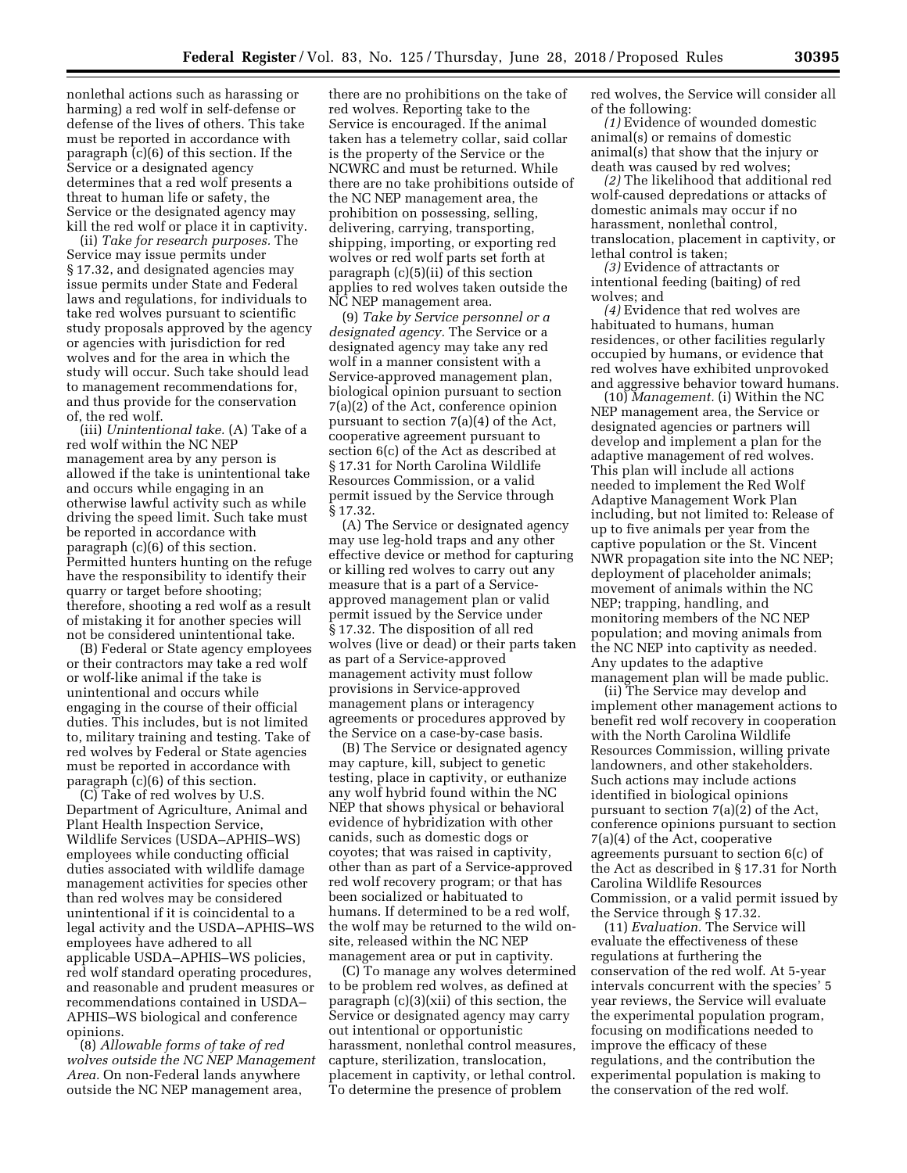nonlethal actions such as harassing or harming) a red wolf in self-defense or defense of the lives of others. This take must be reported in accordance with paragraph (c)(6) of this section. If the Service or a designated agency determines that a red wolf presents a threat to human life or safety, the Service or the designated agency may kill the red wolf or place it in captivity.

(ii) *Take for research purposes.* The Service may issue permits under § 17.32, and designated agencies may issue permits under State and Federal laws and regulations, for individuals to take red wolves pursuant to scientific study proposals approved by the agency or agencies with jurisdiction for red wolves and for the area in which the study will occur. Such take should lead to management recommendations for, and thus provide for the conservation of, the red wolf.

(iii) *Unintentional take.* (A) Take of a red wolf within the NC NEP management area by any person is allowed if the take is unintentional take and occurs while engaging in an otherwise lawful activity such as while driving the speed limit. Such take must be reported in accordance with paragraph (c)(6) of this section. Permitted hunters hunting on the refuge have the responsibility to identify their quarry or target before shooting; therefore, shooting a red wolf as a result of mistaking it for another species will not be considered unintentional take.

(B) Federal or State agency employees or their contractors may take a red wolf or wolf-like animal if the take is unintentional and occurs while engaging in the course of their official duties. This includes, but is not limited to, military training and testing. Take of red wolves by Federal or State agencies must be reported in accordance with paragraph (c)(6) of this section.

(C) Take of red wolves by U.S. Department of Agriculture, Animal and Plant Health Inspection Service, Wildlife Services (USDA–APHIS–WS) employees while conducting official duties associated with wildlife damage management activities for species other than red wolves may be considered unintentional if it is coincidental to a legal activity and the USDA–APHIS–WS employees have adhered to all applicable USDA–APHIS–WS policies, red wolf standard operating procedures, and reasonable and prudent measures or recommendations contained in USDA– APHIS–WS biological and conference opinions.

(8) *Allowable forms of take of red wolves outside the NC NEP Management Area.* On non-Federal lands anywhere outside the NC NEP management area,

there are no prohibitions on the take of red wolves. Reporting take to the Service is encouraged. If the animal taken has a telemetry collar, said collar is the property of the Service or the NCWRC and must be returned. While there are no take prohibitions outside of the NC NEP management area, the prohibition on possessing, selling, delivering, carrying, transporting, shipping, importing, or exporting red wolves or red wolf parts set forth at paragraph (c)(5)(ii) of this section applies to red wolves taken outside the NC NEP management area.

(9) *Take by Service personnel or a designated agency.* The Service or a designated agency may take any red wolf in a manner consistent with a Service-approved management plan, biological opinion pursuant to section 7(a)(2) of the Act, conference opinion pursuant to section 7(a)(4) of the Act, cooperative agreement pursuant to section 6(c) of the Act as described at § 17.31 for North Carolina Wildlife Resources Commission, or a valid permit issued by the Service through § 17.32.

(A) The Service or designated agency may use leg-hold traps and any other effective device or method for capturing or killing red wolves to carry out any measure that is a part of a Serviceapproved management plan or valid permit issued by the Service under § 17.32. The disposition of all red wolves (live or dead) or their parts taken as part of a Service-approved management activity must follow provisions in Service-approved management plans or interagency agreements or procedures approved by the Service on a case-by-case basis.

(B) The Service or designated agency may capture, kill, subject to genetic testing, place in captivity, or euthanize any wolf hybrid found within the NC NEP that shows physical or behavioral evidence of hybridization with other canids, such as domestic dogs or coyotes; that was raised in captivity, other than as part of a Service-approved red wolf recovery program; or that has been socialized or habituated to humans. If determined to be a red wolf, the wolf may be returned to the wild onsite, released within the NC NEP management area or put in captivity.

(C) To manage any wolves determined to be problem red wolves, as defined at paragraph (c)(3)(xii) of this section, the Service or designated agency may carry out intentional or opportunistic harassment, nonlethal control measures, capture, sterilization, translocation, placement in captivity, or lethal control. To determine the presence of problem

red wolves, the Service will consider all of the following:

*(1)* Evidence of wounded domestic animal(s) or remains of domestic animal(s) that show that the injury or death was caused by red wolves;

*(2)* The likelihood that additional red wolf-caused depredations or attacks of domestic animals may occur if no harassment, nonlethal control, translocation, placement in captivity, or lethal control is taken;

*(3)* Evidence of attractants or intentional feeding (baiting) of red wolves; and

*(4)* Evidence that red wolves are habituated to humans, human residences, or other facilities regularly occupied by humans, or evidence that red wolves have exhibited unprovoked and aggressive behavior toward humans.

(10) *Management.* (i) Within the NC NEP management area, the Service or designated agencies or partners will develop and implement a plan for the adaptive management of red wolves. This plan will include all actions needed to implement the Red Wolf Adaptive Management Work Plan including, but not limited to: Release of up to five animals per year from the captive population or the St. Vincent NWR propagation site into the NC NEP; deployment of placeholder animals; movement of animals within the NC NEP; trapping, handling, and monitoring members of the NC NEP population; and moving animals from the NC NEP into captivity as needed. Any updates to the adaptive management plan will be made public.

(ii) The Service may develop and implement other management actions to benefit red wolf recovery in cooperation with the North Carolina Wildlife Resources Commission, willing private landowners, and other stakeholders. Such actions may include actions identified in biological opinions pursuant to section 7(a)(2) of the Act, conference opinions pursuant to section 7(a)(4) of the Act, cooperative agreements pursuant to section 6(c) of the Act as described in § 17.31 for North Carolina Wildlife Resources Commission, or a valid permit issued by the Service through § 17.32.

(11) *Evaluation.* The Service will evaluate the effectiveness of these regulations at furthering the conservation of the red wolf. At 5-year intervals concurrent with the species' 5 year reviews, the Service will evaluate the experimental population program, focusing on modifications needed to improve the efficacy of these regulations, and the contribution the experimental population is making to the conservation of the red wolf.